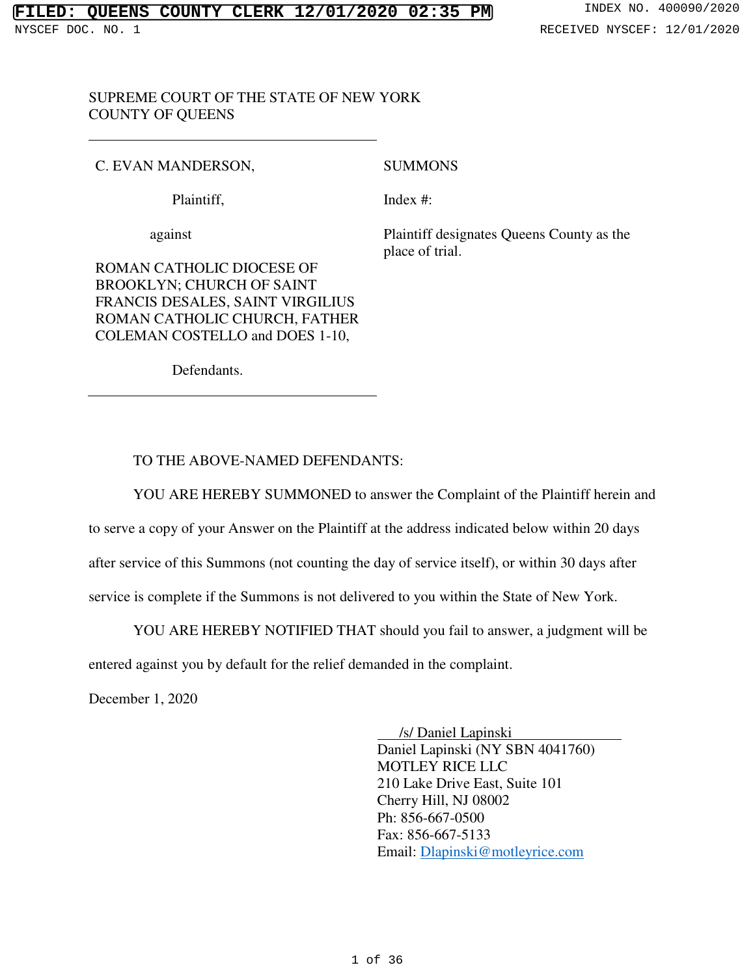## SUPREME COURT OF THE STATE OF NEW YORK COUNTY OF QUEENS

# C. EVAN MANDERSON,

## SUMMONS

Plaintiff,

Index #:

against

Plaintiff designates Queens County as the place of trial.

ROMAN CATHOLIC DIOCESE OF BROOKLYN; CHURCH OF SAINT FRANCIS DESALES, SAINT VIRGILIUS ROMAN CATHOLIC CHURCH, FATHER COLEMAN COSTELLO and DOES 1-10,

Defendants.

## TO THE ABOVE-NAMED DEFENDANTS:

YOU ARE HEREBY SUMMONED to answer the Complaint of the Plaintiff herein and

to serve a copy of your Answer on the Plaintiff at the address indicated below within 20 days

after service of this Summons (not counting the day of service itself), or within 30 days after

service is complete if the Summons is not delivered to you within the State of New York.

YOU ARE HEREBY NOTIFIED THAT should you fail to answer, a judgment will be

entered against you by default for the relief demanded in the complaint.

December 1, 2020

 /s/ Daniel Lapinski Daniel Lapinski (NY SBN 4041760) MOTLEY RICE LLC 210 Lake Drive East, Suite 101 Cherry Hill, NJ 08002 Ph: 856-667-0500 Fax: 856-667-5133 Email: Dlapinski@motleyrice.com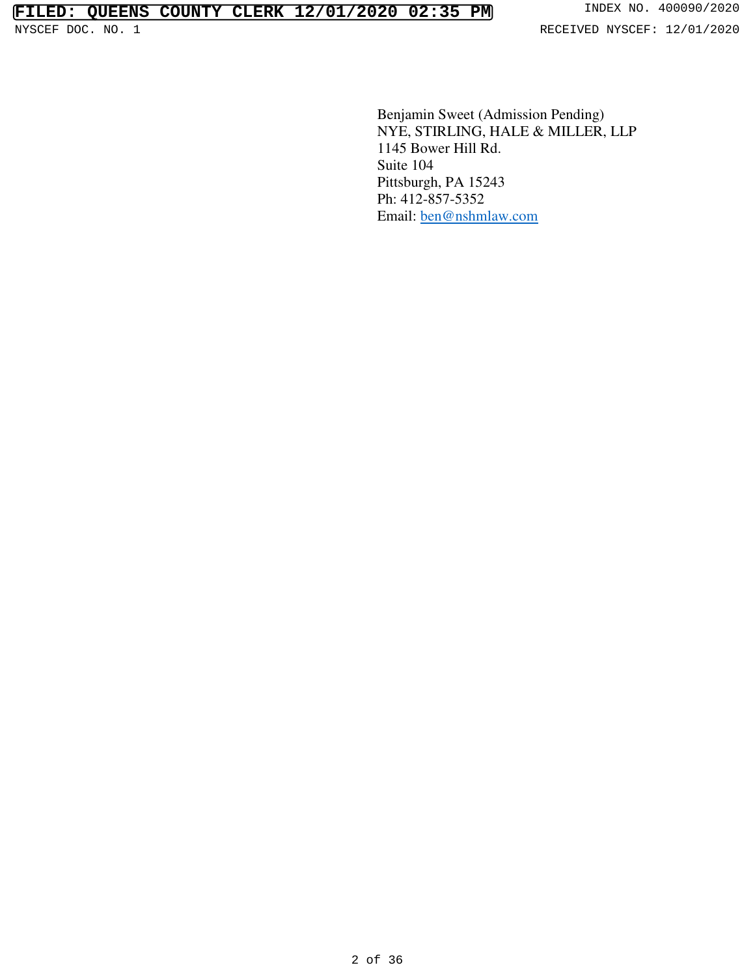Benjamin Sweet (Admission Pending) NYE, STIRLING, HALE & MILLER, LLP 1145 Bower Hill Rd. Suite 104 Pittsburgh, PA 15243 Ph: 412-857-5352 Email: ben@nshmlaw.com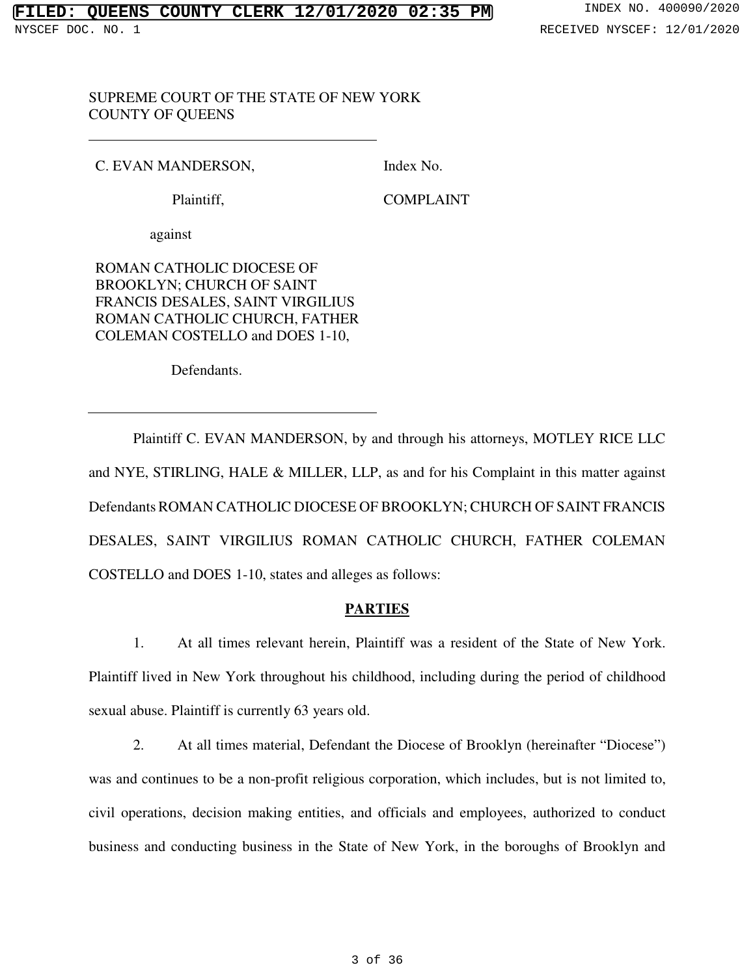## SUPREME COURT OF THE STATE OF NEW YORK COUNTY OF QUEENS

## C. EVAN MANDERSON,

Index No.

Plaintiff,

COMPLAINT

against

ROMAN CATHOLIC DIOCESE OF BROOKLYN; CHURCH OF SAINT FRANCIS DESALES, SAINT VIRGILIUS ROMAN CATHOLIC CHURCH, FATHER COLEMAN COSTELLO and DOES 1-10,

Defendants.

Plaintiff C. EVAN MANDERSON, by and through his attorneys, MOTLEY RICE LLC and NYE, STIRLING, HALE & MILLER, LLP, as and for his Complaint in this matter against Defendants ROMAN CATHOLIC DIOCESE OF BROOKLYN; CHURCH OF SAINT FRANCIS DESALES, SAINT VIRGILIUS ROMAN CATHOLIC CHURCH, FATHER COLEMAN COSTELLO and DOES 1-10, states and alleges as follows:

# **PARTIES**

1. At all times relevant herein, Plaintiff was a resident of the State of New York. Plaintiff lived in New York throughout his childhood, including during the period of childhood sexual abuse. Plaintiff is currently 63 years old.

2. At all times material, Defendant the Diocese of Brooklyn (hereinafter "Diocese") was and continues to be a non-profit religious corporation, which includes, but is not limited to, civil operations, decision making entities, and officials and employees, authorized to conduct business and conducting business in the State of New York, in the boroughs of Brooklyn and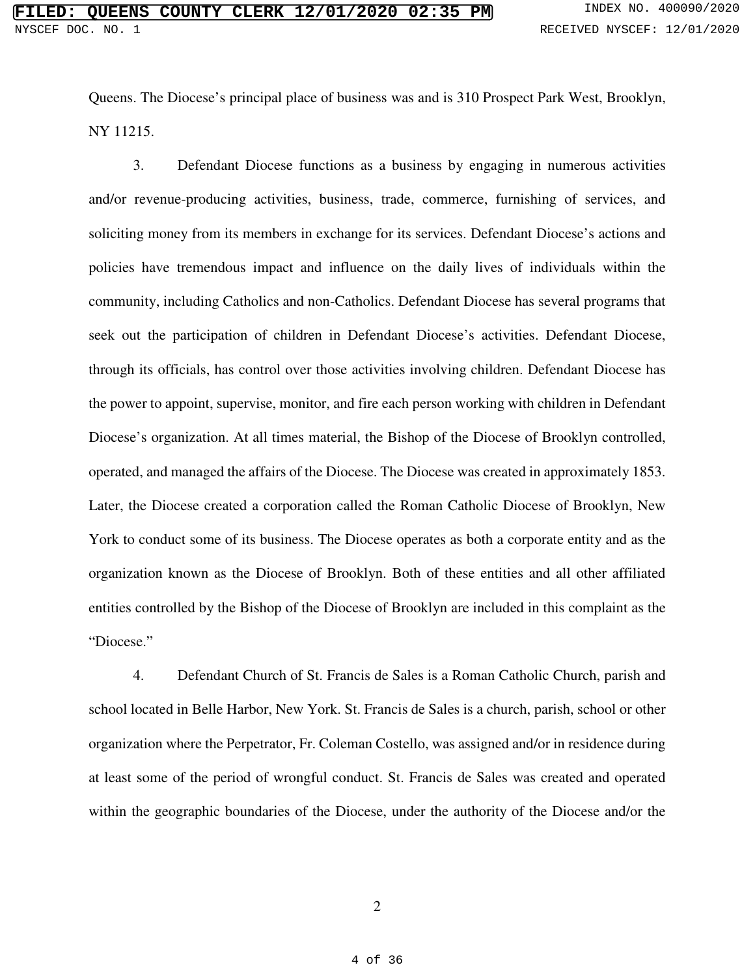Queens. The Diocese's principal place of business was and is 310 Prospect Park West, Brooklyn, NY 11215.

3. Defendant Diocese functions as a business by engaging in numerous activities and/or revenue-producing activities, business, trade, commerce, furnishing of services, and soliciting money from its members in exchange for its services. Defendant Diocese's actions and policies have tremendous impact and influence on the daily lives of individuals within the community, including Catholics and non-Catholics. Defendant Diocese has several programs that seek out the participation of children in Defendant Diocese's activities. Defendant Diocese, through its officials, has control over those activities involving children. Defendant Diocese has the power to appoint, supervise, monitor, and fire each person working with children in Defendant Diocese's organization. At all times material, the Bishop of the Diocese of Brooklyn controlled, operated, and managed the affairs of the Diocese. The Diocese was created in approximately 1853. Later, the Diocese created a corporation called the Roman Catholic Diocese of Brooklyn, New York to conduct some of its business. The Diocese operates as both a corporate entity and as the organization known as the Diocese of Brooklyn. Both of these entities and all other affiliated entities controlled by the Bishop of the Diocese of Brooklyn are included in this complaint as the "Diocese."

4. Defendant Church of St. Francis de Sales is a Roman Catholic Church, parish and school located in Belle Harbor, New York. St. Francis de Sales is a church, parish, school or other organization where the Perpetrator, Fr. Coleman Costello, was assigned and/or in residence during at least some of the period of wrongful conduct. St. Francis de Sales was created and operated within the geographic boundaries of the Diocese, under the authority of the Diocese and/or the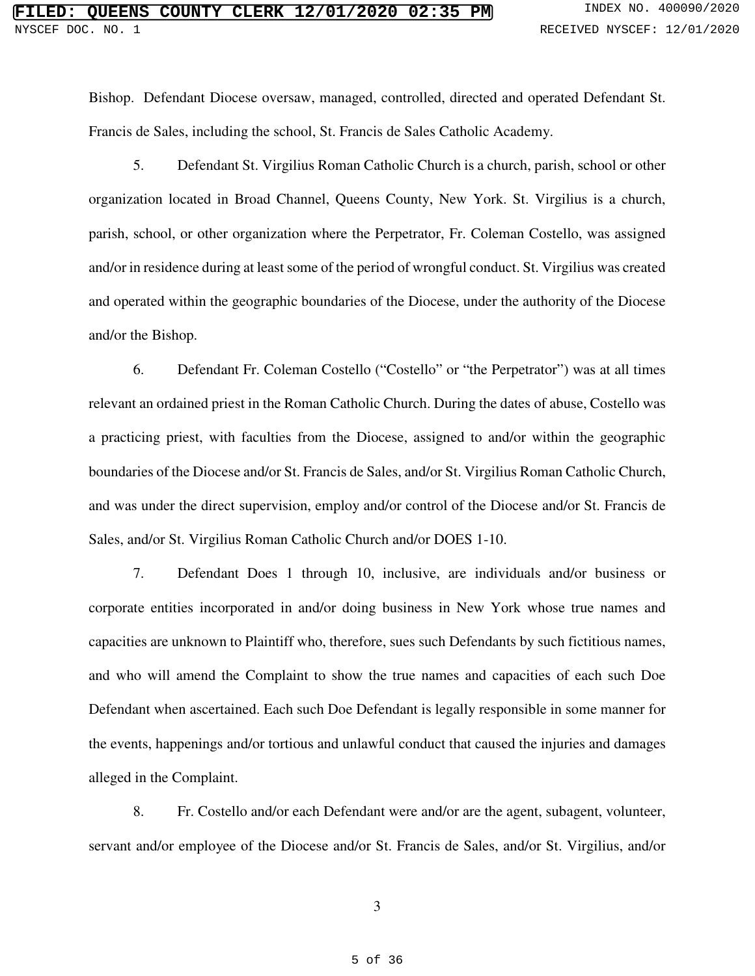Bishop. Defendant Diocese oversaw, managed, controlled, directed and operated Defendant St. Francis de Sales, including the school, St. Francis de Sales Catholic Academy.

5. Defendant St. Virgilius Roman Catholic Church is a church, parish, school or other organization located in Broad Channel, Queens County, New York. St. Virgilius is a church, parish, school, or other organization where the Perpetrator, Fr. Coleman Costello, was assigned and/or in residence during at least some of the period of wrongful conduct. St. Virgilius was created and operated within the geographic boundaries of the Diocese, under the authority of the Diocese and/or the Bishop.

6. Defendant Fr. Coleman Costello ("Costello" or "the Perpetrator") was at all times relevant an ordained priest in the Roman Catholic Church. During the dates of abuse, Costello was a practicing priest, with faculties from the Diocese, assigned to and/or within the geographic boundaries of the Diocese and/or St. Francis de Sales, and/or St. Virgilius Roman Catholic Church, and was under the direct supervision, employ and/or control of the Diocese and/or St. Francis de Sales, and/or St. Virgilius Roman Catholic Church and/or DOES 1-10.

7. Defendant Does 1 through 10, inclusive, are individuals and/or business or corporate entities incorporated in and/or doing business in New York whose true names and capacities are unknown to Plaintiff who, therefore, sues such Defendants by such fictitious names, and who will amend the Complaint to show the true names and capacities of each such Doe Defendant when ascertained. Each such Doe Defendant is legally responsible in some manner for the events, happenings and/or tortious and unlawful conduct that caused the injuries and damages alleged in the Complaint.

8. Fr. Costello and/or each Defendant were and/or are the agent, subagent, volunteer, servant and/or employee of the Diocese and/or St. Francis de Sales, and/or St. Virgilius, and/or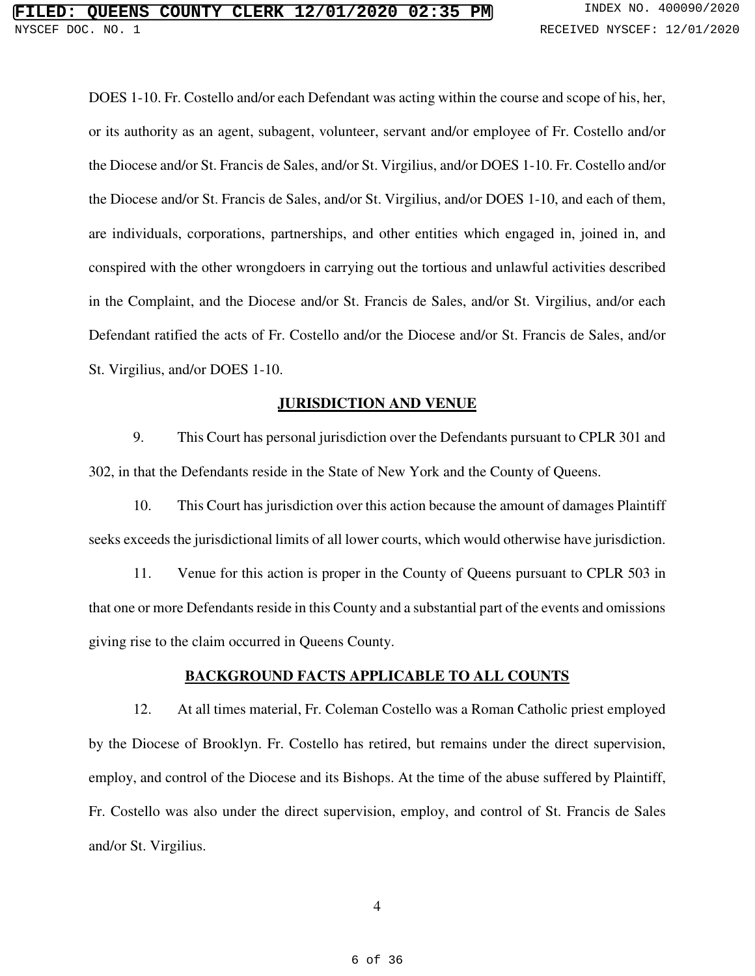DOES 1-10. Fr. Costello and/or each Defendant was acting within the course and scope of his, her, or its authority as an agent, subagent, volunteer, servant and/or employee of Fr. Costello and/or the Diocese and/or St. Francis de Sales, and/or St. Virgilius, and/or DOES 1-10. Fr. Costello and/or the Diocese and/or St. Francis de Sales, and/or St. Virgilius, and/or DOES 1-10, and each of them, are individuals, corporations, partnerships, and other entities which engaged in, joined in, and conspired with the other wrongdoers in carrying out the tortious and unlawful activities described in the Complaint, and the Diocese and/or St. Francis de Sales, and/or St. Virgilius, and/or each Defendant ratified the acts of Fr. Costello and/or the Diocese and/or St. Francis de Sales, and/or St. Virgilius, and/or DOES 1-10.

## **JURISDICTION AND VENUE**

9. This Court has personal jurisdiction over the Defendants pursuant to CPLR 301 and 302, in that the Defendants reside in the State of New York and the County of Queens.

10. This Court has jurisdiction over this action because the amount of damages Plaintiff seeks exceeds the jurisdictional limits of all lower courts, which would otherwise have jurisdiction.

11. Venue for this action is proper in the County of Queens pursuant to CPLR 503 in that one or more Defendants reside in this County and a substantial part of the events and omissions giving rise to the claim occurred in Queens County.

### **BACKGROUND FACTS APPLICABLE TO ALL COUNTS**

12. At all times material, Fr. Coleman Costello was a Roman Catholic priest employed by the Diocese of Brooklyn. Fr. Costello has retired, but remains under the direct supervision, employ, and control of the Diocese and its Bishops. At the time of the abuse suffered by Plaintiff, Fr. Costello was also under the direct supervision, employ, and control of St. Francis de Sales and/or St. Virgilius.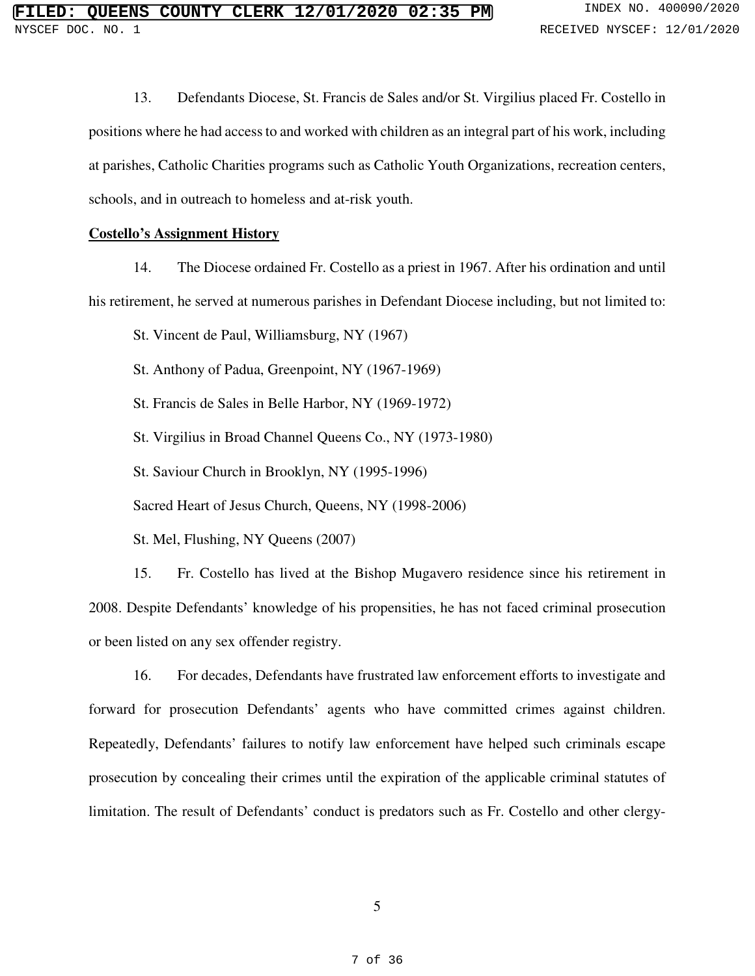13. Defendants Diocese, St. Francis de Sales and/or St. Virgilius placed Fr. Costello in positions where he had access to and worked with children as an integral part of his work, including at parishes, Catholic Charities programs such as Catholic Youth Organizations, recreation centers, schools, and in outreach to homeless and at-risk youth.

## **Costello's Assignment History**

14. The Diocese ordained Fr. Costello as a priest in 1967. After his ordination and until his retirement, he served at numerous parishes in Defendant Diocese including, but not limited to:

St. Vincent de Paul, Williamsburg, NY (1967)

St. Anthony of Padua, Greenpoint, NY (1967-1969)

St. Francis de Sales in Belle Harbor, NY (1969-1972)

St. Virgilius in Broad Channel Queens Co., NY (1973-1980)

St. Saviour Church in Brooklyn, NY (1995-1996)

Sacred Heart of Jesus Church, Queens, NY (1998-2006)

St. Mel, Flushing, NY Queens (2007)

15. Fr. Costello has lived at the Bishop Mugavero residence since his retirement in 2008. Despite Defendants' knowledge of his propensities, he has not faced criminal prosecution or been listed on any sex offender registry.

16. For decades, Defendants have frustrated law enforcement efforts to investigate and forward for prosecution Defendants' agents who have committed crimes against children. Repeatedly, Defendants' failures to notify law enforcement have helped such criminals escape prosecution by concealing their crimes until the expiration of the applicable criminal statutes of limitation. The result of Defendants' conduct is predators such as Fr. Costello and other clergy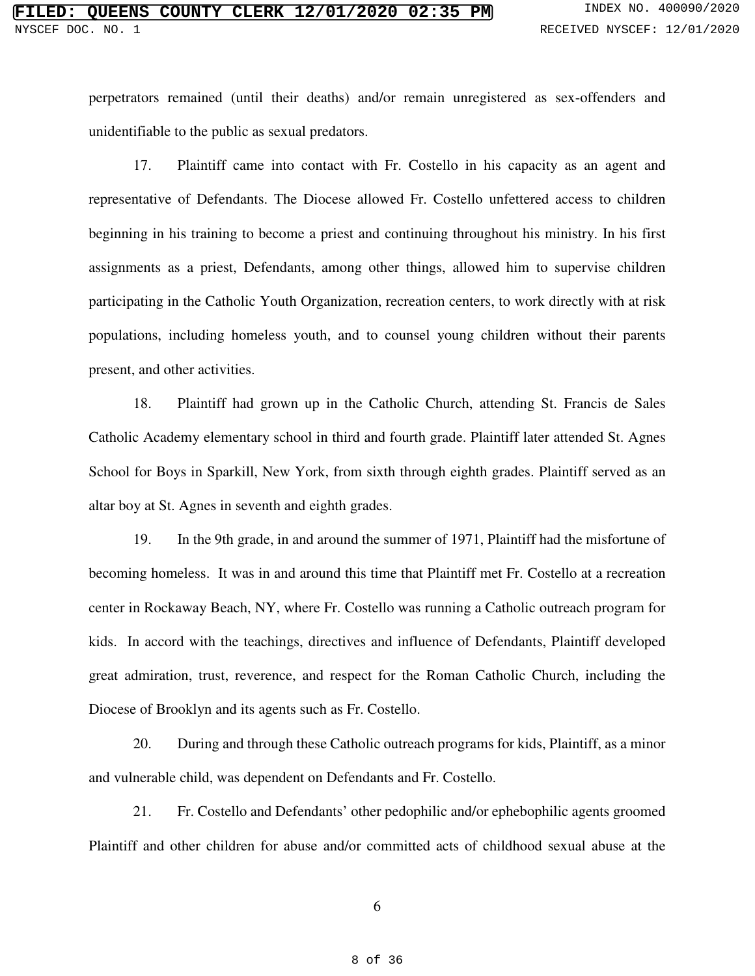perpetrators remained (until their deaths) and/or remain unregistered as sex-offenders and unidentifiable to the public as sexual predators.

17. Plaintiff came into contact with Fr. Costello in his capacity as an agent and representative of Defendants. The Diocese allowed Fr. Costello unfettered access to children beginning in his training to become a priest and continuing throughout his ministry. In his first assignments as a priest, Defendants, among other things, allowed him to supervise children participating in the Catholic Youth Organization, recreation centers, to work directly with at risk populations, including homeless youth, and to counsel young children without their parents present, and other activities.

18. Plaintiff had grown up in the Catholic Church, attending St. Francis de Sales Catholic Academy elementary school in third and fourth grade. Plaintiff later attended St. Agnes School for Boys in Sparkill, New York, from sixth through eighth grades. Plaintiff served as an altar boy at St. Agnes in seventh and eighth grades.

19. In the 9th grade, in and around the summer of 1971, Plaintiff had the misfortune of becoming homeless. It was in and around this time that Plaintiff met Fr. Costello at a recreation center in Rockaway Beach, NY, where Fr. Costello was running a Catholic outreach program for kids. In accord with the teachings, directives and influence of Defendants, Plaintiff developed great admiration, trust, reverence, and respect for the Roman Catholic Church, including the Diocese of Brooklyn and its agents such as Fr. Costello.

20. During and through these Catholic outreach programs for kids, Plaintiff, as a minor and vulnerable child, was dependent on Defendants and Fr. Costello.

21. Fr. Costello and Defendants' other pedophilic and/or ephebophilic agents groomed Plaintiff and other children for abuse and/or committed acts of childhood sexual abuse at the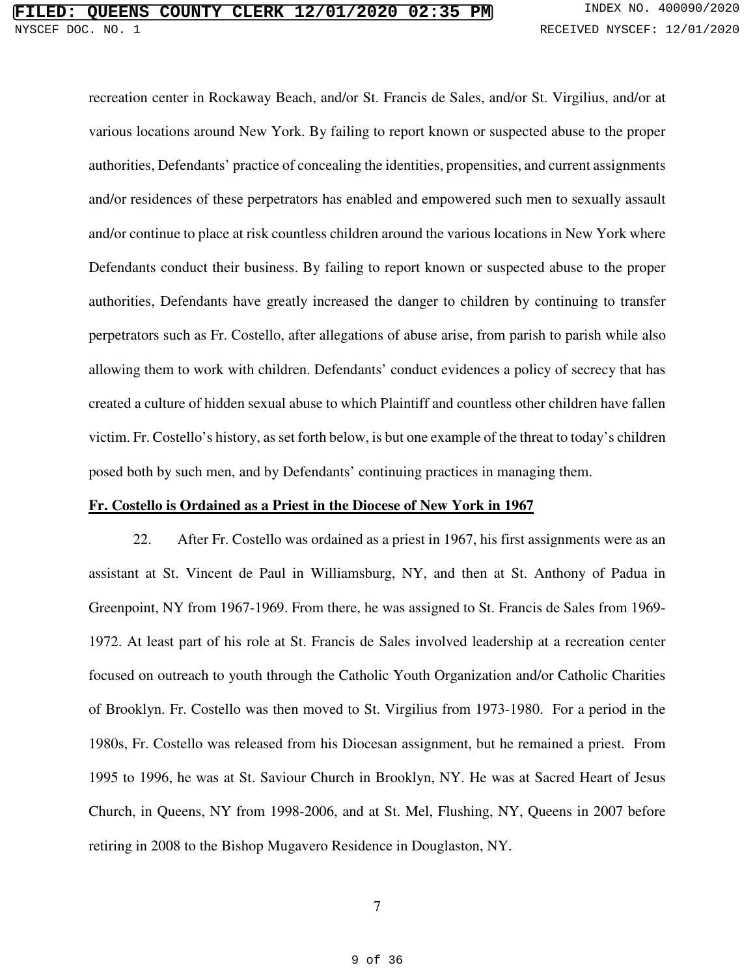recreation center in Rockaway Beach, and/or St. Francis de Sales, and/or St. Virgilius, and/or at various locations around New York. By failing to report known or suspected abuse to the proper authorities, Defendants' practice of concealing the identities, propensities, and current assignments and/or residences of these perpetrators has enabled and empowered such men to sexually assault and/or continue to place at risk countless children around the various locations in New York where Defendants conduct their business. By failing to report known or suspected abuse to the proper authorities, Defendants have greatly increased the danger to children by continuing to transfer perpetrators such as Fr. Costello, after allegations of abuse arise, from parish to parish while also allowing them to work with children. Defendants' conduct evidences a policy of secrecy that has created a culture of hidden sexual abuse to which Plaintiff and countless other children have fallen victim. Fr. Costello's history, as set forth below, is but one example of the threat to today's children posed both by such men, and by Defendants' continuing practices in managing them.

### **Fr. Costello is Ordained as a Priest in the Diocese of New York in 1967**

22. After Fr. Costello was ordained as a priest in 1967, his first assignments were as an assistant at St. Vincent de Paul in Williamsburg, NY, and then at St. Anthony of Padua in Greenpoint, NY from 1967-1969. From there, he was assigned to St. Francis de Sales from 1969- 1972. At least part of his role at St. Francis de Sales involved leadership at a recreation center focused on outreach to youth through the Catholic Youth Organization and/or Catholic Charities of Brooklyn. Fr. Costello was then moved to St. Virgilius from 1973-1980. For a period in the 1980s, Fr. Costello was released from his Diocesan assignment, but he remained a priest. From 1995 to 1996, he was at St. Saviour Church in Brooklyn, NY. He was at Sacred Heart of Jesus Church, in Queens, NY from 1998-2006, and at St. Mel, Flushing, NY, Queens in 2007 before retiring in 2008 to the Bishop Mugavero Residence in Douglaston, NY.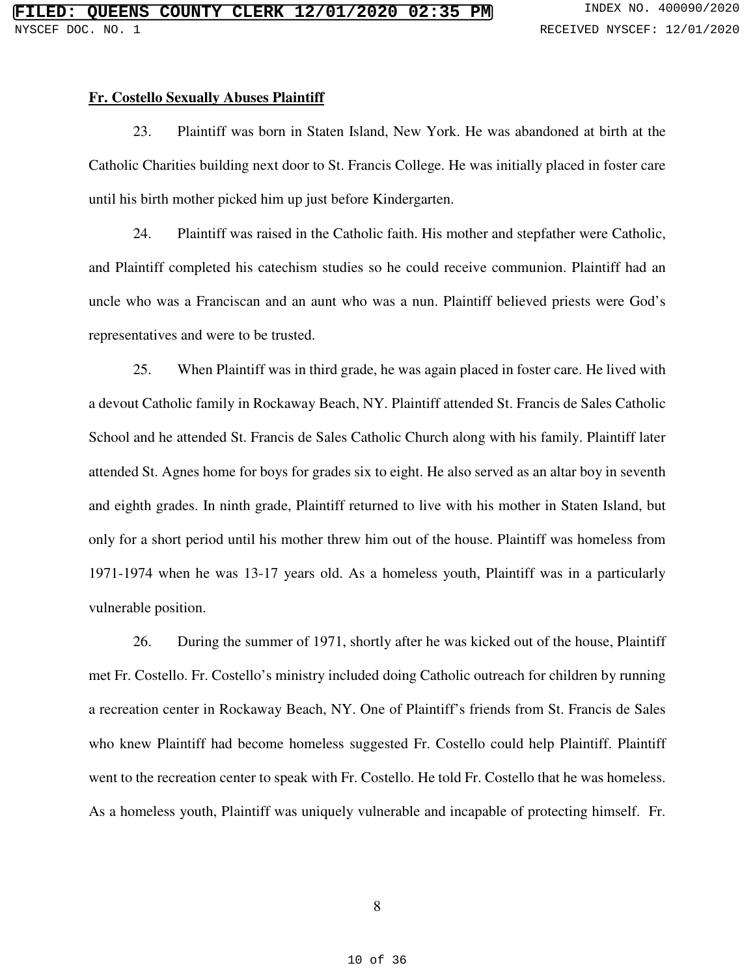### **Fr. Costello Sexually Abuses Plaintiff**

23. Plaintiff was born in Staten Island, New York. He was abandoned at birth at the Catholic Charities building next door to St. Francis College. He was initially placed in foster care until his birth mother picked him up just before Kindergarten.

24. Plaintiff was raised in the Catholic faith. His mother and stepfather were Catholic, and Plaintiff completed his catechism studies so he could receive communion. Plaintiff had an uncle who was a Franciscan and an aunt who was a nun. Plaintiff believed priests were God's representatives and were to be trusted.

25. When Plaintiff was in third grade, he was again placed in foster care. He lived with a devout Catholic family in Rockaway Beach, NY. Plaintiff attended St. Francis de Sales Catholic School and he attended St. Francis de Sales Catholic Church along with his family. Plaintiff later attended St. Agnes home for boys for grades six to eight. He also served as an altar boy in seventh and eighth grades. In ninth grade, Plaintiff returned to live with his mother in Staten Island, but only for a short period until his mother threw him out of the house. Plaintiff was homeless from 1971-1974 when he was 13-17 years old. As a homeless youth, Plaintiff was in a particularly vulnerable position.

26. During the summer of 1971, shortly after he was kicked out of the house, Plaintiff met Fr. Costello. Fr. Costello's ministry included doing Catholic outreach for children by running a recreation center in Rockaway Beach, NY. One of Plaintiff's friends from St. Francis de Sales who knew Plaintiff had become homeless suggested Fr. Costello could help Plaintiff. Plaintiff went to the recreation center to speak with Fr. Costello. He told Fr. Costello that he was homeless. As a homeless youth, Plaintiff was uniquely vulnerable and incapable of protecting himself. Fr.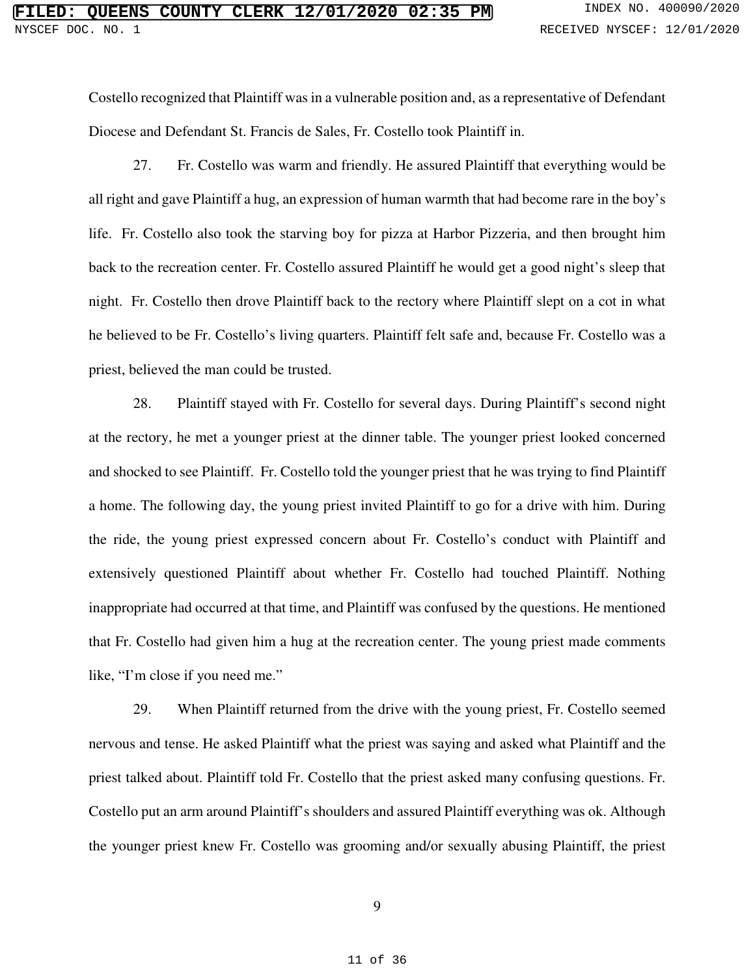Costello recognized that Plaintiff was in a vulnerable position and, as a representative of Defendant Diocese and Defendant St. Francis de Sales, Fr. Costello took Plaintiff in.

27. Fr. Costello was warm and friendly. He assured Plaintiff that everything would be all right and gave Plaintiff a hug, an expression of human warmth that had become rare in the boy's life. Fr. Costello also took the starving boy for pizza at Harbor Pizzeria, and then brought him back to the recreation center. Fr. Costello assured Plaintiff he would get a good night's sleep that night. Fr. Costello then drove Plaintiff back to the rectory where Plaintiff slept on a cot in what he believed to be Fr. Costello's living quarters. Plaintiff felt safe and, because Fr. Costello was a priest, believed the man could be trusted.

28. Plaintiff stayed with Fr. Costello for several days. During Plaintiff's second night at the rectory, he met a younger priest at the dinner table. The younger priest looked concerned and shocked to see Plaintiff. Fr. Costello told the younger priest that he was trying to find Plaintiff a home. The following day, the young priest invited Plaintiff to go for a drive with him. During the ride, the young priest expressed concern about Fr. Costello's conduct with Plaintiff and extensively questioned Plaintiff about whether Fr. Costello had touched Plaintiff. Nothing inappropriate had occurred at that time, and Plaintiff was confused by the questions. He mentioned that Fr. Costello had given him a hug at the recreation center. The young priest made comments like, "I'm close if you need me."

29. When Plaintiff returned from the drive with the young priest, Fr. Costello seemed nervous and tense. He asked Plaintiff what the priest was saying and asked what Plaintiff and the priest talked about. Plaintiff told Fr. Costello that the priest asked many confusing questions. Fr. Costello put an arm around Plaintiff's shoulders and assured Plaintiff everything was ok. Although the younger priest knew Fr. Costello was grooming and/or sexually abusing Plaintiff, the priest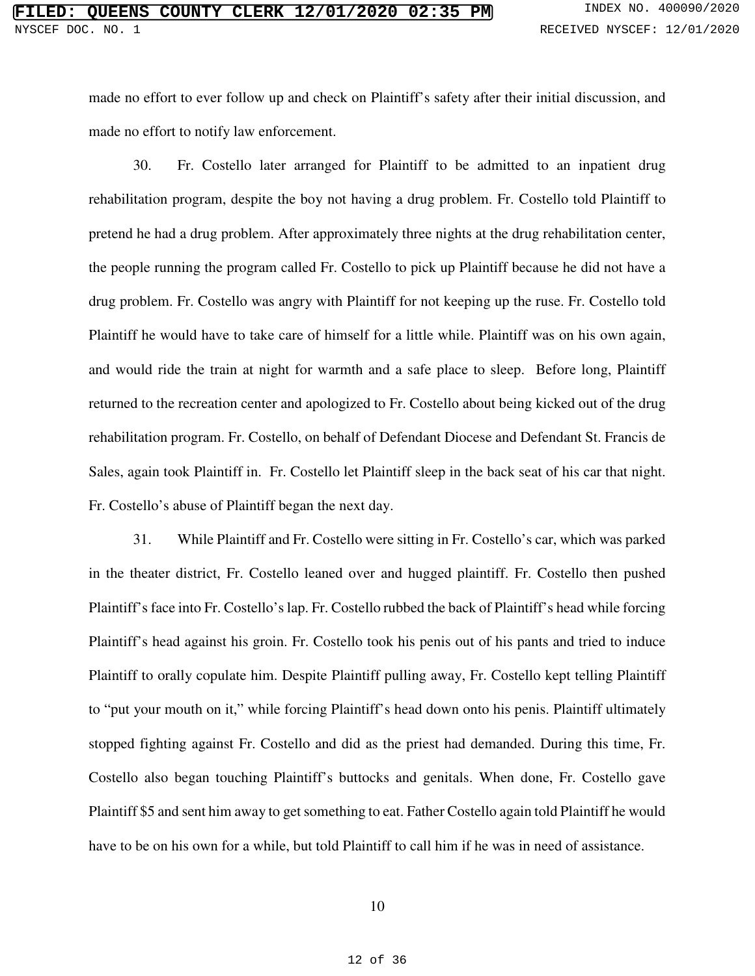made no effort to ever follow up and check on Plaintiff's safety after their initial discussion, and made no effort to notify law enforcement.

30. Fr. Costello later arranged for Plaintiff to be admitted to an inpatient drug rehabilitation program, despite the boy not having a drug problem. Fr. Costello told Plaintiff to pretend he had a drug problem. After approximately three nights at the drug rehabilitation center, the people running the program called Fr. Costello to pick up Plaintiff because he did not have a drug problem. Fr. Costello was angry with Plaintiff for not keeping up the ruse. Fr. Costello told Plaintiff he would have to take care of himself for a little while. Plaintiff was on his own again, and would ride the train at night for warmth and a safe place to sleep. Before long, Plaintiff returned to the recreation center and apologized to Fr. Costello about being kicked out of the drug rehabilitation program. Fr. Costello, on behalf of Defendant Diocese and Defendant St. Francis de Sales, again took Plaintiff in. Fr. Costello let Plaintiff sleep in the back seat of his car that night. Fr. Costello's abuse of Plaintiff began the next day.

31. While Plaintiff and Fr. Costello were sitting in Fr. Costello's car, which was parked in the theater district, Fr. Costello leaned over and hugged plaintiff. Fr. Costello then pushed Plaintiff's face into Fr. Costello's lap. Fr. Costello rubbed the back of Plaintiff's head while forcing Plaintiff's head against his groin. Fr. Costello took his penis out of his pants and tried to induce Plaintiff to orally copulate him. Despite Plaintiff pulling away, Fr. Costello kept telling Plaintiff to "put your mouth on it," while forcing Plaintiff's head down onto his penis. Plaintiff ultimately stopped fighting against Fr. Costello and did as the priest had demanded. During this time, Fr. Costello also began touching Plaintiff's buttocks and genitals. When done, Fr. Costello gave Plaintiff \$5 and sent him away to get something to eat. Father Costello again told Plaintiff he would have to be on his own for a while, but told Plaintiff to call him if he was in need of assistance.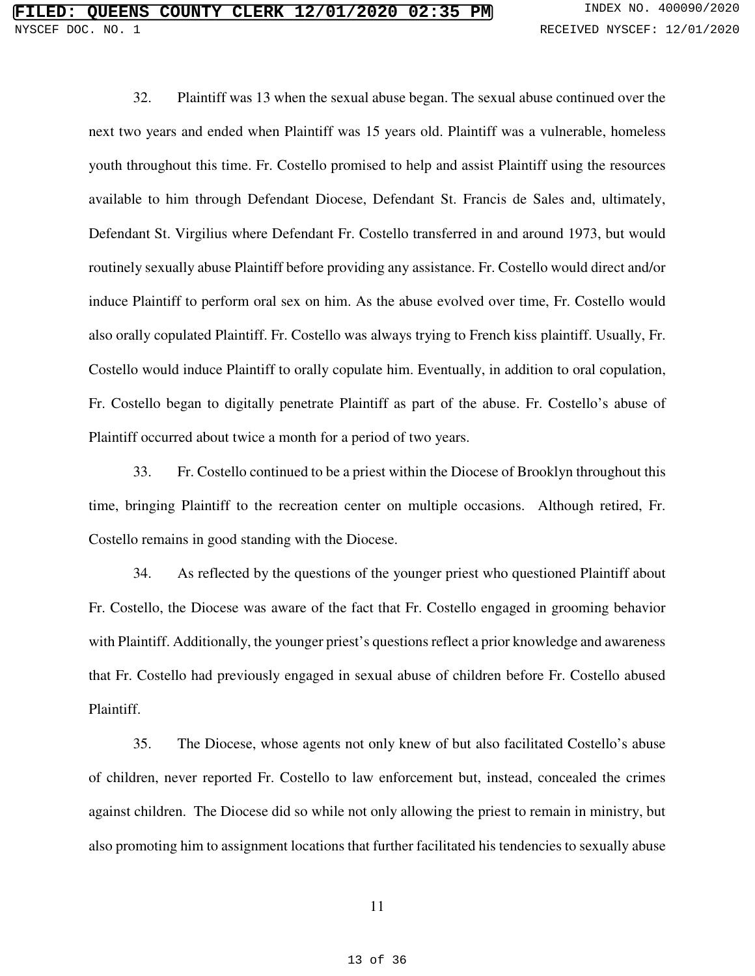32. Plaintiff was 13 when the sexual abuse began. The sexual abuse continued over the next two years and ended when Plaintiff was 15 years old. Plaintiff was a vulnerable, homeless youth throughout this time. Fr. Costello promised to help and assist Plaintiff using the resources available to him through Defendant Diocese, Defendant St. Francis de Sales and, ultimately, Defendant St. Virgilius where Defendant Fr. Costello transferred in and around 1973, but would routinely sexually abuse Plaintiff before providing any assistance. Fr. Costello would direct and/or induce Plaintiff to perform oral sex on him. As the abuse evolved over time, Fr. Costello would also orally copulated Plaintiff. Fr. Costello was always trying to French kiss plaintiff. Usually, Fr. Costello would induce Plaintiff to orally copulate him. Eventually, in addition to oral copulation, Fr. Costello began to digitally penetrate Plaintiff as part of the abuse. Fr. Costello's abuse of Plaintiff occurred about twice a month for a period of two years.

33. Fr. Costello continued to be a priest within the Diocese of Brooklyn throughout this time, bringing Plaintiff to the recreation center on multiple occasions. Although retired, Fr. Costello remains in good standing with the Diocese.

34. As reflected by the questions of the younger priest who questioned Plaintiff about Fr. Costello, the Diocese was aware of the fact that Fr. Costello engaged in grooming behavior with Plaintiff. Additionally, the younger priest's questions reflect a prior knowledge and awareness that Fr. Costello had previously engaged in sexual abuse of children before Fr. Costello abused Plaintiff.

35. The Diocese, whose agents not only knew of but also facilitated Costello's abuse of children, never reported Fr. Costello to law enforcement but, instead, concealed the crimes against children. The Diocese did so while not only allowing the priest to remain in ministry, but also promoting him to assignment locations that further facilitated his tendencies to sexually abuse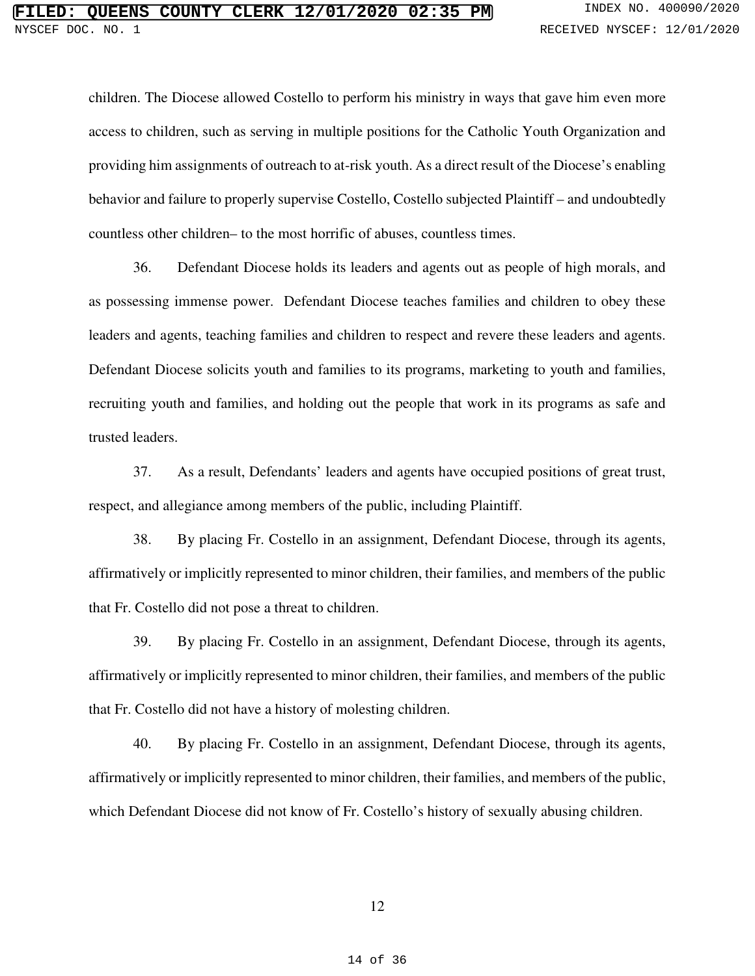children. The Diocese allowed Costello to perform his ministry in ways that gave him even more access to children, such as serving in multiple positions for the Catholic Youth Organization and providing him assignments of outreach to at-risk youth. As a direct result of the Diocese's enabling behavior and failure to properly supervise Costello, Costello subjected Plaintiff – and undoubtedly countless other children– to the most horrific of abuses, countless times.

36. Defendant Diocese holds its leaders and agents out as people of high morals, and as possessing immense power. Defendant Diocese teaches families and children to obey these leaders and agents, teaching families and children to respect and revere these leaders and agents. Defendant Diocese solicits youth and families to its programs, marketing to youth and families, recruiting youth and families, and holding out the people that work in its programs as safe and trusted leaders.

37. As a result, Defendants' leaders and agents have occupied positions of great trust, respect, and allegiance among members of the public, including Plaintiff.

38. By placing Fr. Costello in an assignment, Defendant Diocese, through its agents, affirmatively or implicitly represented to minor children, their families, and members of the public that Fr. Costello did not pose a threat to children.

39. By placing Fr. Costello in an assignment, Defendant Diocese, through its agents, affirmatively or implicitly represented to minor children, their families, and members of the public that Fr. Costello did not have a history of molesting children.

40. By placing Fr. Costello in an assignment, Defendant Diocese, through its agents, affirmatively or implicitly represented to minor children, their families, and members of the public, which Defendant Diocese did not know of Fr. Costello's history of sexually abusing children.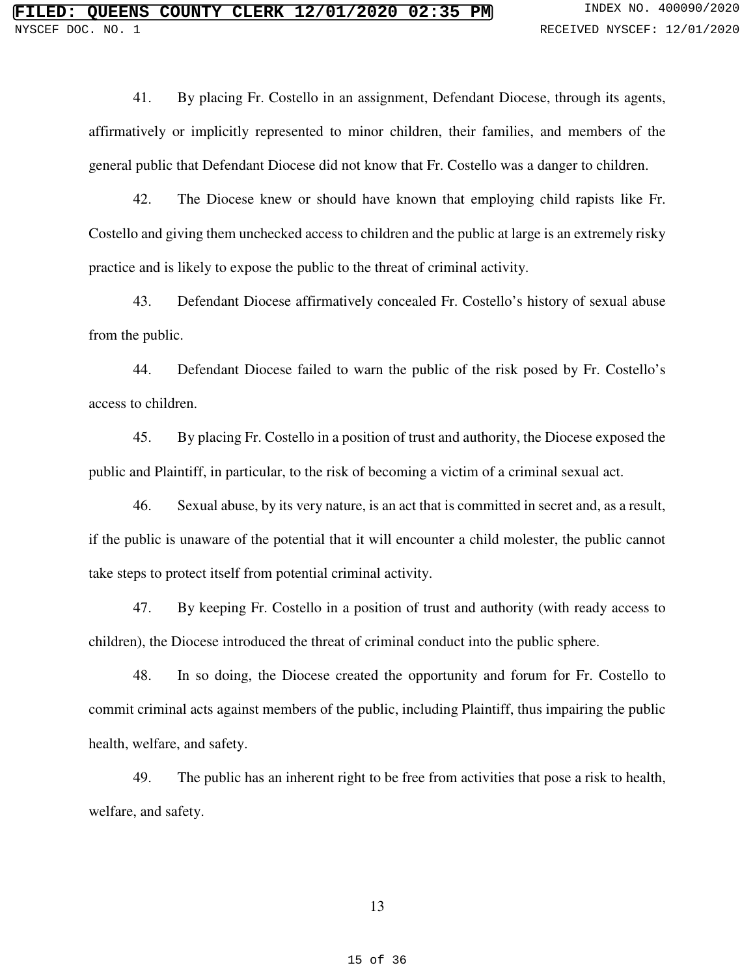41. By placing Fr. Costello in an assignment, Defendant Diocese, through its agents, affirmatively or implicitly represented to minor children, their families, and members of the general public that Defendant Diocese did not know that Fr. Costello was a danger to children.

42. The Diocese knew or should have known that employing child rapists like Fr. Costello and giving them unchecked access to children and the public at large is an extremely risky practice and is likely to expose the public to the threat of criminal activity.

43. Defendant Diocese affirmatively concealed Fr. Costello's history of sexual abuse from the public.

44. Defendant Diocese failed to warn the public of the risk posed by Fr. Costello's access to children.

45. By placing Fr. Costello in a position of trust and authority, the Diocese exposed the public and Plaintiff, in particular, to the risk of becoming a victim of a criminal sexual act.

46. Sexual abuse, by its very nature, is an act that is committed in secret and, as a result, if the public is unaware of the potential that it will encounter a child molester, the public cannot take steps to protect itself from potential criminal activity.

47. By keeping Fr. Costello in a position of trust and authority (with ready access to children), the Diocese introduced the threat of criminal conduct into the public sphere.

48. In so doing, the Diocese created the opportunity and forum for Fr. Costello to commit criminal acts against members of the public, including Plaintiff, thus impairing the public health, welfare, and safety.

49. The public has an inherent right to be free from activities that pose a risk to health, welfare, and safety.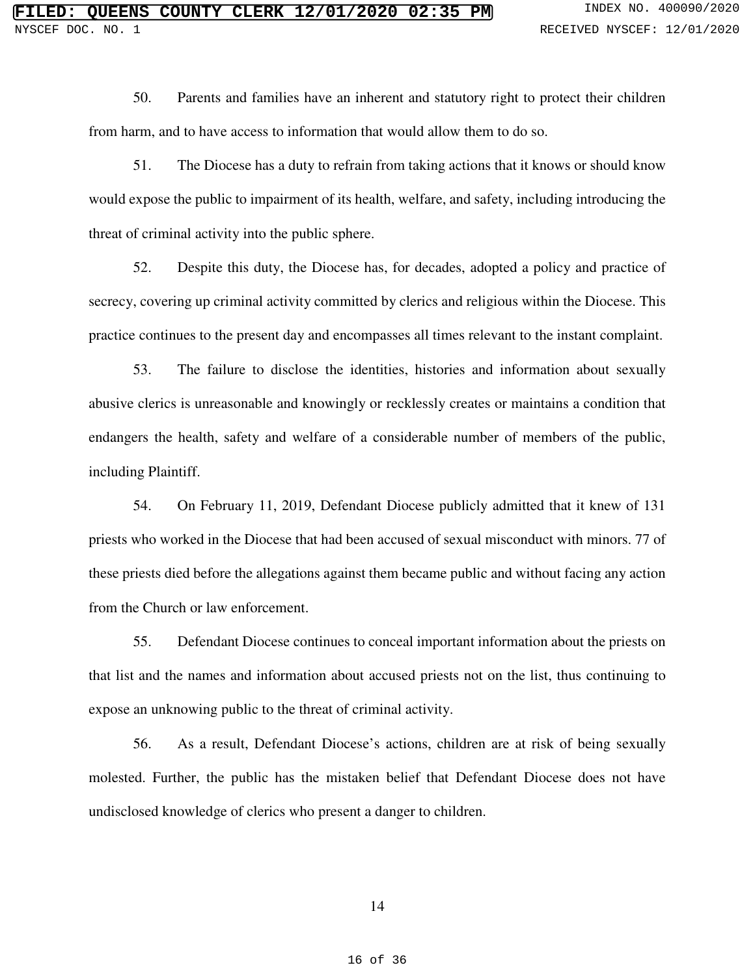50. Parents and families have an inherent and statutory right to protect their children from harm, and to have access to information that would allow them to do so.

51. The Diocese has a duty to refrain from taking actions that it knows or should know would expose the public to impairment of its health, welfare, and safety, including introducing the threat of criminal activity into the public sphere.

52. Despite this duty, the Diocese has, for decades, adopted a policy and practice of secrecy, covering up criminal activity committed by clerics and religious within the Diocese. This practice continues to the present day and encompasses all times relevant to the instant complaint.

53. The failure to disclose the identities, histories and information about sexually abusive clerics is unreasonable and knowingly or recklessly creates or maintains a condition that endangers the health, safety and welfare of a considerable number of members of the public, including Plaintiff.

54. On February 11, 2019, Defendant Diocese publicly admitted that it knew of 131 priests who worked in the Diocese that had been accused of sexual misconduct with minors. 77 of these priests died before the allegations against them became public and without facing any action from the Church or law enforcement.

55. Defendant Diocese continues to conceal important information about the priests on that list and the names and information about accused priests not on the list, thus continuing to expose an unknowing public to the threat of criminal activity.

56. As a result, Defendant Diocese's actions, children are at risk of being sexually molested. Further, the public has the mistaken belief that Defendant Diocese does not have undisclosed knowledge of clerics who present a danger to children.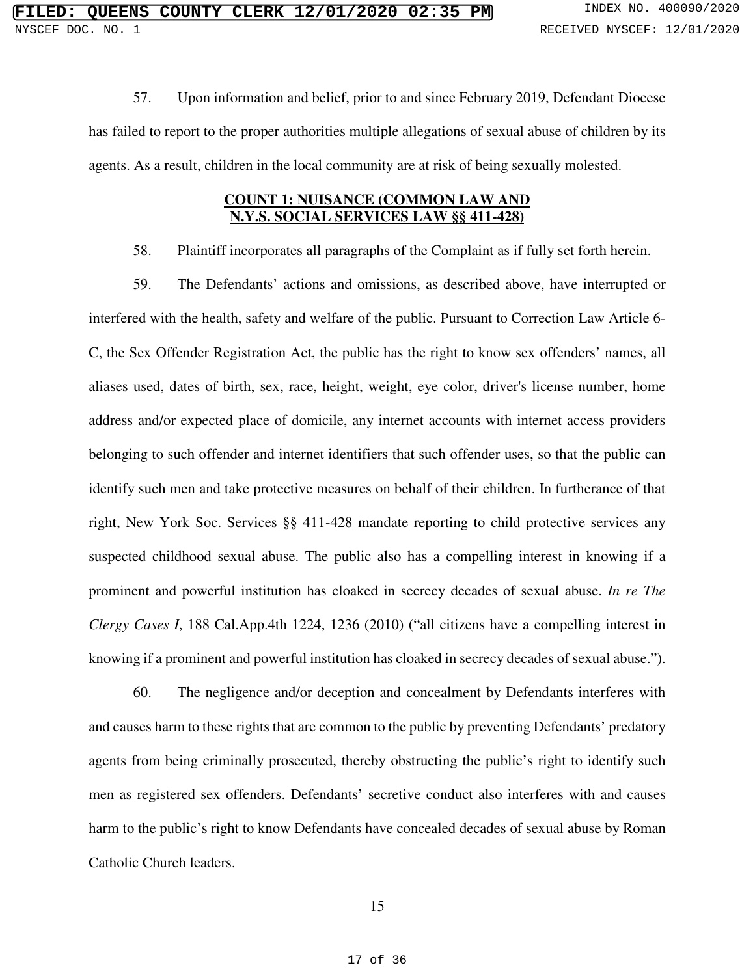57. Upon information and belief, prior to and since February 2019, Defendant Diocese has failed to report to the proper authorities multiple allegations of sexual abuse of children by its agents. As a result, children in the local community are at risk of being sexually molested.

## **COUNT 1: NUISANCE (COMMON LAW AND N.Y.S. SOCIAL SERVICES LAW §§ 411-428)**

58. Plaintiff incorporates all paragraphs of the Complaint as if fully set forth herein.

59. The Defendants' actions and omissions, as described above, have interrupted or interfered with the health, safety and welfare of the public. Pursuant to Correction Law Article 6- C, the Sex Offender Registration Act, the public has the right to know sex offenders' names, all aliases used, dates of birth, sex, race, height, weight, eye color, driver's license number, home address and/or expected place of domicile, any internet accounts with internet access providers belonging to such offender and internet identifiers that such offender uses, so that the public can identify such men and take protective measures on behalf of their children. In furtherance of that right, New York Soc. Services §§ 411-428 mandate reporting to child protective services any suspected childhood sexual abuse. The public also has a compelling interest in knowing if a prominent and powerful institution has cloaked in secrecy decades of sexual abuse. *In re The Clergy Cases I*, 188 Cal.App.4th 1224, 1236 (2010) ("all citizens have a compelling interest in knowing if a prominent and powerful institution has cloaked in secrecy decades of sexual abuse.").

60. The negligence and/or deception and concealment by Defendants interferes with and causes harm to these rights that are common to the public by preventing Defendants' predatory agents from being criminally prosecuted, thereby obstructing the public's right to identify such men as registered sex offenders. Defendants' secretive conduct also interferes with and causes harm to the public's right to know Defendants have concealed decades of sexual abuse by Roman Catholic Church leaders.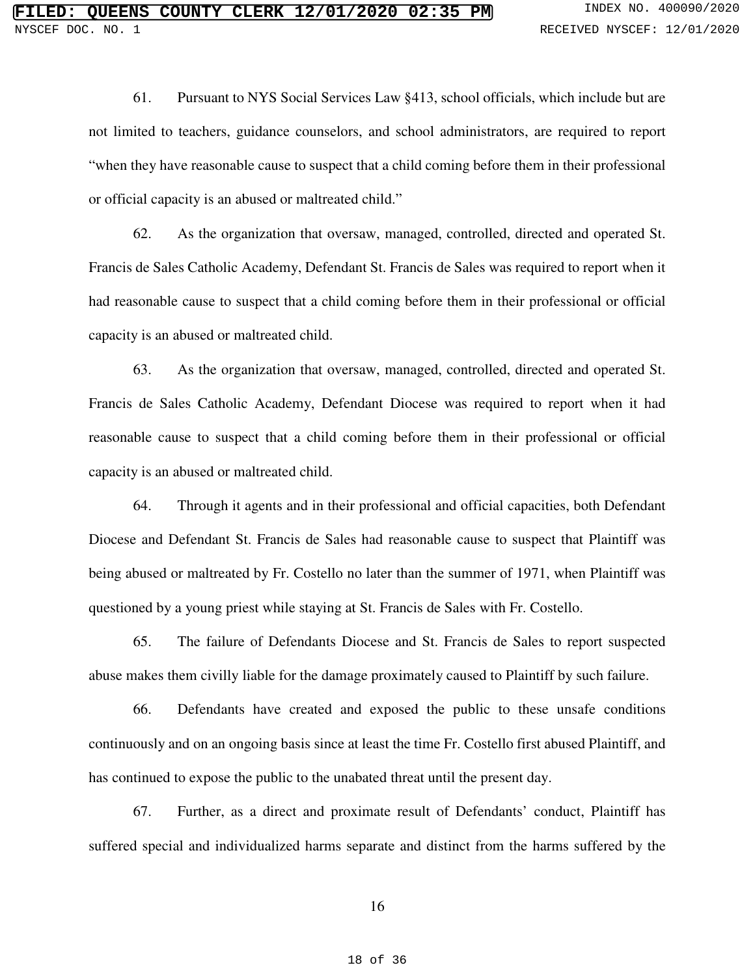61. Pursuant to NYS Social Services Law §413, school officials, which include but are not limited to teachers, guidance counselors, and school administrators, are required to report "when they have reasonable cause to suspect that a child coming before them in their professional or official capacity is an abused or maltreated child."

62. As the organization that oversaw, managed, controlled, directed and operated St. Francis de Sales Catholic Academy, Defendant St. Francis de Sales was required to report when it had reasonable cause to suspect that a child coming before them in their professional or official capacity is an abused or maltreated child.

63. As the organization that oversaw, managed, controlled, directed and operated St. Francis de Sales Catholic Academy, Defendant Diocese was required to report when it had reasonable cause to suspect that a child coming before them in their professional or official capacity is an abused or maltreated child.

64. Through it agents and in their professional and official capacities, both Defendant Diocese and Defendant St. Francis de Sales had reasonable cause to suspect that Plaintiff was being abused or maltreated by Fr. Costello no later than the summer of 1971, when Plaintiff was questioned by a young priest while staying at St. Francis de Sales with Fr. Costello.

65. The failure of Defendants Diocese and St. Francis de Sales to report suspected abuse makes them civilly liable for the damage proximately caused to Plaintiff by such failure.

66. Defendants have created and exposed the public to these unsafe conditions continuously and on an ongoing basis since at least the time Fr. Costello first abused Plaintiff, and has continued to expose the public to the unabated threat until the present day.

67. Further, as a direct and proximate result of Defendants' conduct, Plaintiff has suffered special and individualized harms separate and distinct from the harms suffered by the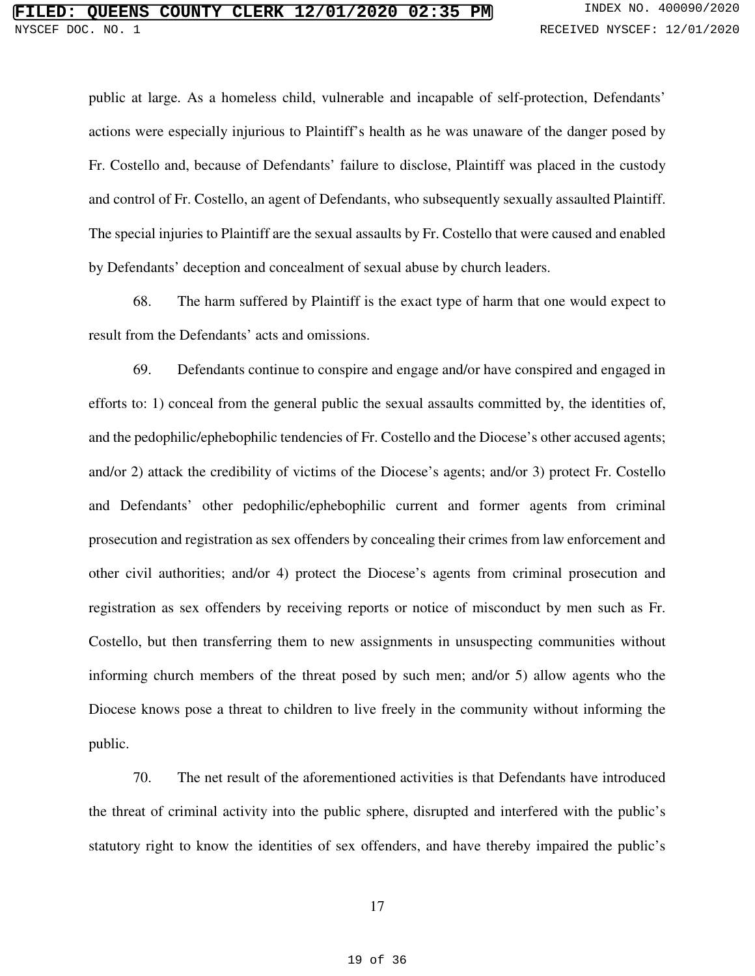public at large. As a homeless child, vulnerable and incapable of self-protection, Defendants' actions were especially injurious to Plaintiff's health as he was unaware of the danger posed by Fr. Costello and, because of Defendants' failure to disclose, Plaintiff was placed in the custody and control of Fr. Costello, an agent of Defendants, who subsequently sexually assaulted Plaintiff. The special injuries to Plaintiff are the sexual assaults by Fr. Costello that were caused and enabled by Defendants' deception and concealment of sexual abuse by church leaders.

68. The harm suffered by Plaintiff is the exact type of harm that one would expect to result from the Defendants' acts and omissions.

69. Defendants continue to conspire and engage and/or have conspired and engaged in efforts to: 1) conceal from the general public the sexual assaults committed by, the identities of, and the pedophilic/ephebophilic tendencies of Fr. Costello and the Diocese's other accused agents; and/or 2) attack the credibility of victims of the Diocese's agents; and/or 3) protect Fr. Costello and Defendants' other pedophilic/ephebophilic current and former agents from criminal prosecution and registration as sex offenders by concealing their crimes from law enforcement and other civil authorities; and/or 4) protect the Diocese's agents from criminal prosecution and registration as sex offenders by receiving reports or notice of misconduct by men such as Fr. Costello, but then transferring them to new assignments in unsuspecting communities without informing church members of the threat posed by such men; and/or 5) allow agents who the Diocese knows pose a threat to children to live freely in the community without informing the public.

70. The net result of the aforementioned activities is that Defendants have introduced the threat of criminal activity into the public sphere, disrupted and interfered with the public's statutory right to know the identities of sex offenders, and have thereby impaired the public's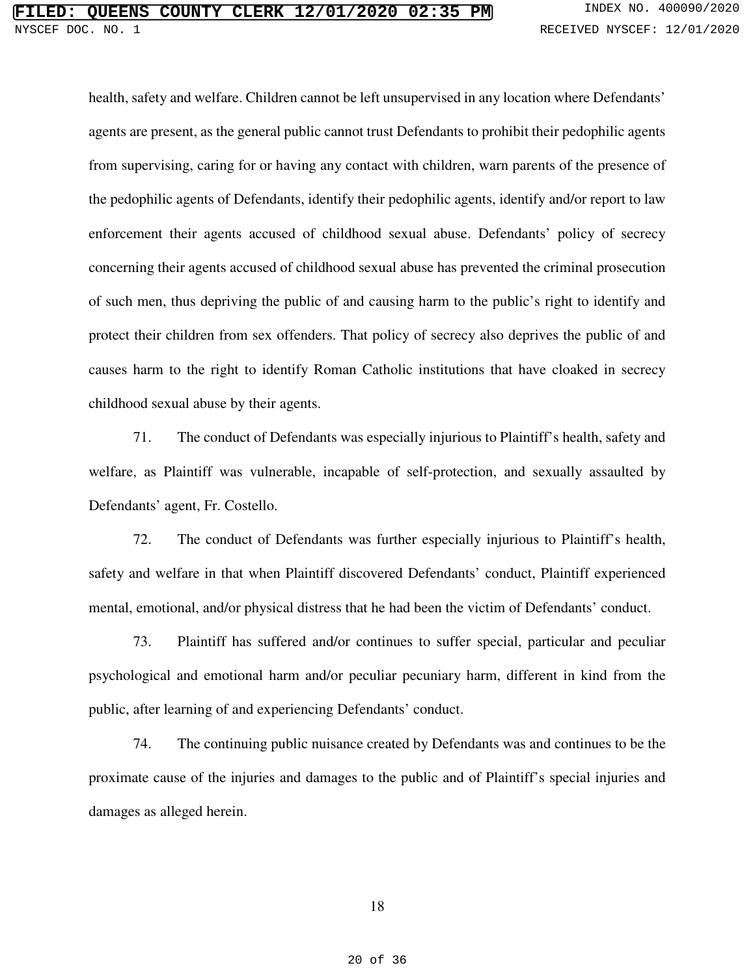health, safety and welfare. Children cannot be left unsupervised in any location where Defendants' agents are present, as the general public cannot trust Defendants to prohibit their pedophilic agents from supervising, caring for or having any contact with children, warn parents of the presence of the pedophilic agents of Defendants, identify their pedophilic agents, identify and/or report to law enforcement their agents accused of childhood sexual abuse. Defendants' policy of secrecy concerning their agents accused of childhood sexual abuse has prevented the criminal prosecution of such men, thus depriving the public of and causing harm to the public's right to identify and protect their children from sex offenders. That policy of secrecy also deprives the public of and causes harm to the right to identify Roman Catholic institutions that have cloaked in secrecy childhood sexual abuse by their agents.

71. The conduct of Defendants was especially injurious to Plaintiff's health, safety and welfare, as Plaintiff was vulnerable, incapable of self-protection, and sexually assaulted by Defendants' agent, Fr. Costello.

72. The conduct of Defendants was further especially injurious to Plaintiff's health, safety and welfare in that when Plaintiff discovered Defendants' conduct, Plaintiff experienced mental, emotional, and/or physical distress that he had been the victim of Defendants' conduct.

73. Plaintiff has suffered and/or continues to suffer special, particular and peculiar psychological and emotional harm and/or peculiar pecuniary harm, different in kind from the public, after learning of and experiencing Defendants' conduct.

74. The continuing public nuisance created by Defendants was and continues to be the proximate cause of the injuries and damages to the public and of Plaintiff's special injuries and damages as alleged herein.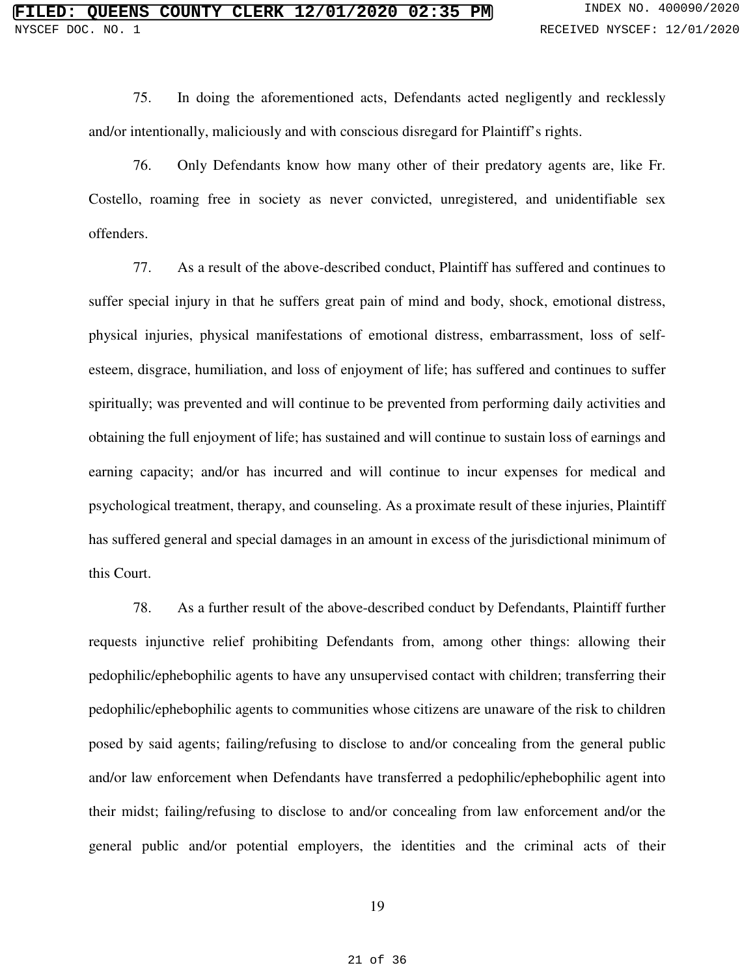75. In doing the aforementioned acts, Defendants acted negligently and recklessly and/or intentionally, maliciously and with conscious disregard for Plaintiff's rights.

76. Only Defendants know how many other of their predatory agents are, like Fr. Costello, roaming free in society as never convicted, unregistered, and unidentifiable sex offenders.

77. As a result of the above-described conduct, Plaintiff has suffered and continues to suffer special injury in that he suffers great pain of mind and body, shock, emotional distress, physical injuries, physical manifestations of emotional distress, embarrassment, loss of selfesteem, disgrace, humiliation, and loss of enjoyment of life; has suffered and continues to suffer spiritually; was prevented and will continue to be prevented from performing daily activities and obtaining the full enjoyment of life; has sustained and will continue to sustain loss of earnings and earning capacity; and/or has incurred and will continue to incur expenses for medical and psychological treatment, therapy, and counseling. As a proximate result of these injuries, Plaintiff has suffered general and special damages in an amount in excess of the jurisdictional minimum of this Court.

78. As a further result of the above-described conduct by Defendants, Plaintiff further requests injunctive relief prohibiting Defendants from, among other things: allowing their pedophilic/ephebophilic agents to have any unsupervised contact with children; transferring their pedophilic/ephebophilic agents to communities whose citizens are unaware of the risk to children posed by said agents; failing/refusing to disclose to and/or concealing from the general public and/or law enforcement when Defendants have transferred a pedophilic/ephebophilic agent into their midst; failing/refusing to disclose to and/or concealing from law enforcement and/or the general public and/or potential employers, the identities and the criminal acts of their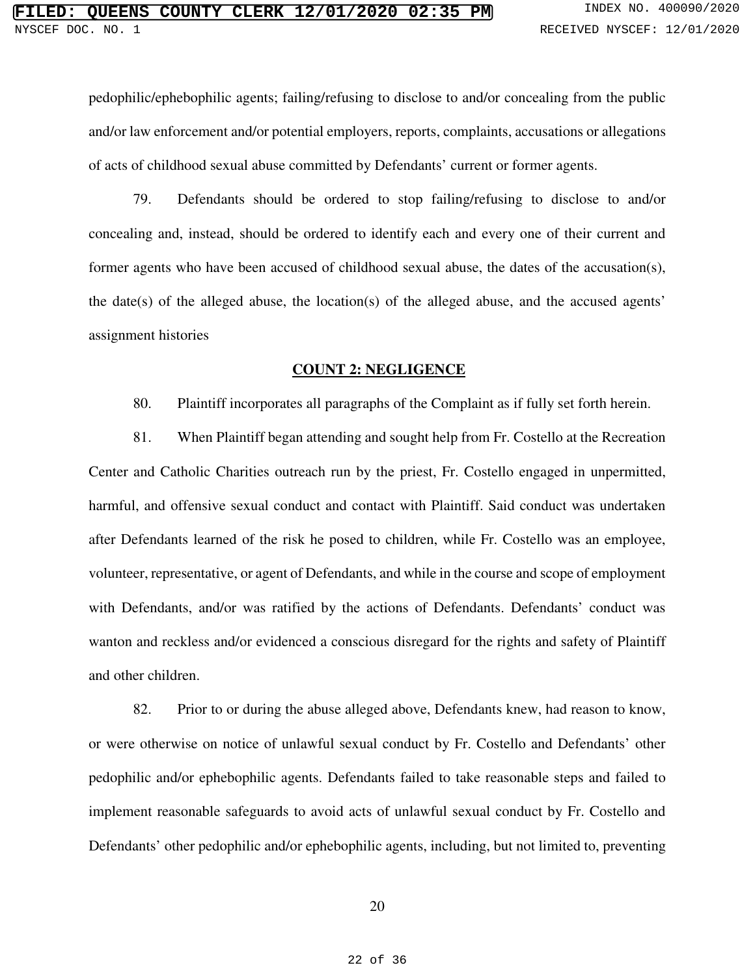pedophilic/ephebophilic agents; failing/refusing to disclose to and/or concealing from the public and/or law enforcement and/or potential employers, reports, complaints, accusations or allegations of acts of childhood sexual abuse committed by Defendants' current or former agents.

79. Defendants should be ordered to stop failing/refusing to disclose to and/or concealing and, instead, should be ordered to identify each and every one of their current and former agents who have been accused of childhood sexual abuse, the dates of the accusation(s), the date(s) of the alleged abuse, the location(s) of the alleged abuse, and the accused agents' assignment histories

### **COUNT 2: NEGLIGENCE**

80. Plaintiff incorporates all paragraphs of the Complaint as if fully set forth herein.

81. When Plaintiff began attending and sought help from Fr. Costello at the Recreation Center and Catholic Charities outreach run by the priest, Fr. Costello engaged in unpermitted, harmful, and offensive sexual conduct and contact with Plaintiff. Said conduct was undertaken after Defendants learned of the risk he posed to children, while Fr. Costello was an employee, volunteer, representative, or agent of Defendants, and while in the course and scope of employment with Defendants, and/or was ratified by the actions of Defendants. Defendants' conduct was wanton and reckless and/or evidenced a conscious disregard for the rights and safety of Plaintiff and other children.

82. Prior to or during the abuse alleged above, Defendants knew, had reason to know, or were otherwise on notice of unlawful sexual conduct by Fr. Costello and Defendants' other pedophilic and/or ephebophilic agents. Defendants failed to take reasonable steps and failed to implement reasonable safeguards to avoid acts of unlawful sexual conduct by Fr. Costello and Defendants' other pedophilic and/or ephebophilic agents, including, but not limited to, preventing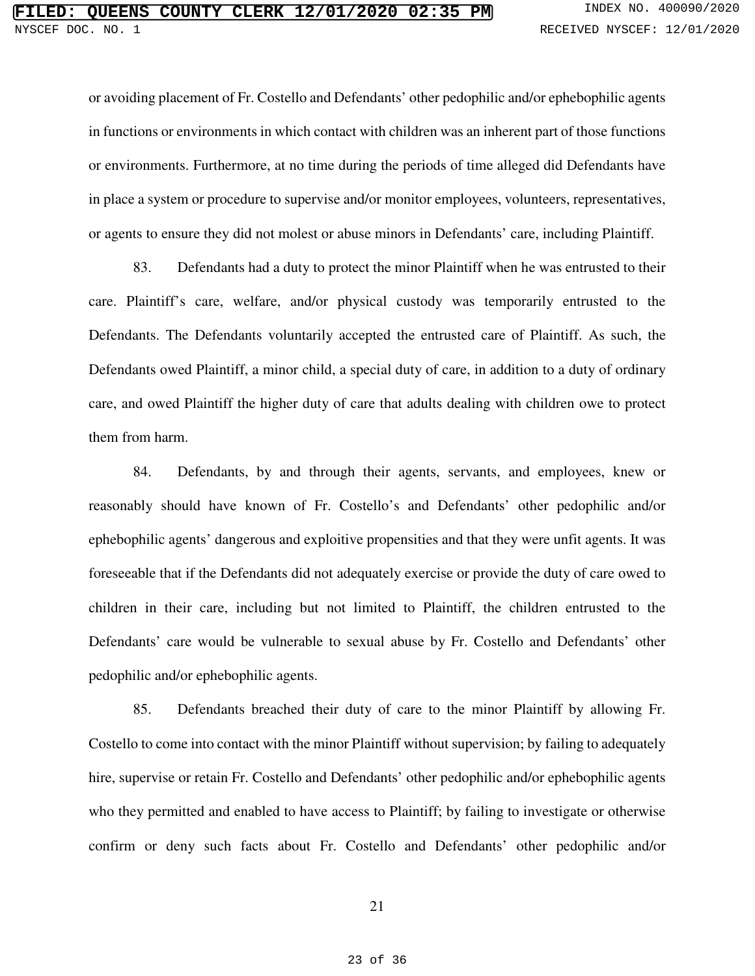or avoiding placement of Fr. Costello and Defendants' other pedophilic and/or ephebophilic agents in functions or environments in which contact with children was an inherent part of those functions or environments. Furthermore, at no time during the periods of time alleged did Defendants have in place a system or procedure to supervise and/or monitor employees, volunteers, representatives, or agents to ensure they did not molest or abuse minors in Defendants' care, including Plaintiff.

83. Defendants had a duty to protect the minor Plaintiff when he was entrusted to their care. Plaintiff's care, welfare, and/or physical custody was temporarily entrusted to the Defendants. The Defendants voluntarily accepted the entrusted care of Plaintiff. As such, the Defendants owed Plaintiff, a minor child, a special duty of care, in addition to a duty of ordinary care, and owed Plaintiff the higher duty of care that adults dealing with children owe to protect them from harm.

84. Defendants, by and through their agents, servants, and employees, knew or reasonably should have known of Fr. Costello's and Defendants' other pedophilic and/or ephebophilic agents' dangerous and exploitive propensities and that they were unfit agents. It was foreseeable that if the Defendants did not adequately exercise or provide the duty of care owed to children in their care, including but not limited to Plaintiff, the children entrusted to the Defendants' care would be vulnerable to sexual abuse by Fr. Costello and Defendants' other pedophilic and/or ephebophilic agents.

85. Defendants breached their duty of care to the minor Plaintiff by allowing Fr. Costello to come into contact with the minor Plaintiff without supervision; by failing to adequately hire, supervise or retain Fr. Costello and Defendants' other pedophilic and/or ephebophilic agents who they permitted and enabled to have access to Plaintiff; by failing to investigate or otherwise confirm or deny such facts about Fr. Costello and Defendants' other pedophilic and/or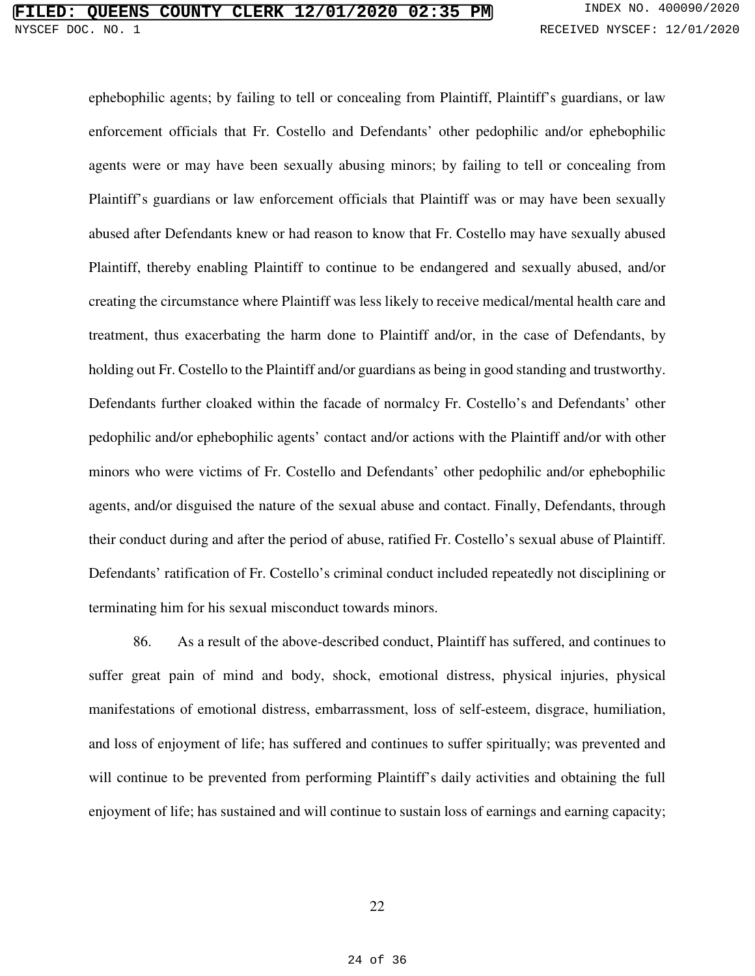ephebophilic agents; by failing to tell or concealing from Plaintiff, Plaintiff's guardians, or law enforcement officials that Fr. Costello and Defendants' other pedophilic and/or ephebophilic agents were or may have been sexually abusing minors; by failing to tell or concealing from Plaintiff's guardians or law enforcement officials that Plaintiff was or may have been sexually abused after Defendants knew or had reason to know that Fr. Costello may have sexually abused Plaintiff, thereby enabling Plaintiff to continue to be endangered and sexually abused, and/or creating the circumstance where Plaintiff was less likely to receive medical/mental health care and treatment, thus exacerbating the harm done to Plaintiff and/or, in the case of Defendants, by holding out Fr. Costello to the Plaintiff and/or guardians as being in good standing and trustworthy. Defendants further cloaked within the facade of normalcy Fr. Costello's and Defendants' other pedophilic and/or ephebophilic agents' contact and/or actions with the Plaintiff and/or with other minors who were victims of Fr. Costello and Defendants' other pedophilic and/or ephebophilic agents, and/or disguised the nature of the sexual abuse and contact. Finally, Defendants, through their conduct during and after the period of abuse, ratified Fr. Costello's sexual abuse of Plaintiff. Defendants' ratification of Fr. Costello's criminal conduct included repeatedly not disciplining or terminating him for his sexual misconduct towards minors.

86. As a result of the above-described conduct, Plaintiff has suffered, and continues to suffer great pain of mind and body, shock, emotional distress, physical injuries, physical manifestations of emotional distress, embarrassment, loss of self-esteem, disgrace, humiliation, and loss of enjoyment of life; has suffered and continues to suffer spiritually; was prevented and will continue to be prevented from performing Plaintiff's daily activities and obtaining the full enjoyment of life; has sustained and will continue to sustain loss of earnings and earning capacity;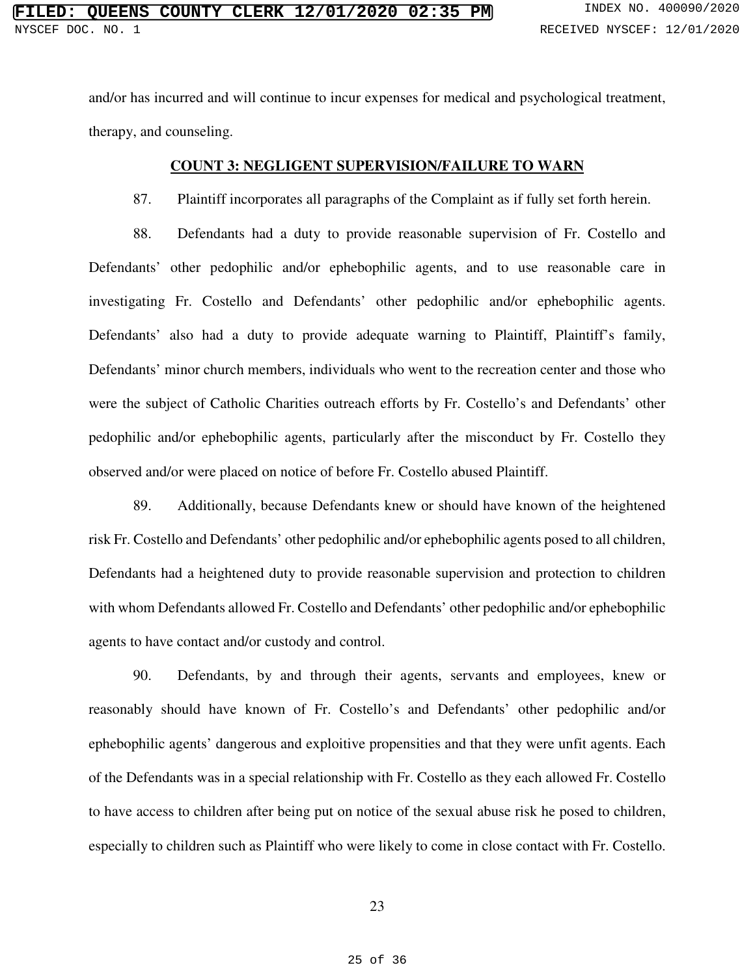and/or has incurred and will continue to incur expenses for medical and psychological treatment, therapy, and counseling.

## **COUNT 3: NEGLIGENT SUPERVISION/FAILURE TO WARN**

87. Plaintiff incorporates all paragraphs of the Complaint as if fully set forth herein.

88. Defendants had a duty to provide reasonable supervision of Fr. Costello and Defendants' other pedophilic and/or ephebophilic agents, and to use reasonable care in investigating Fr. Costello and Defendants' other pedophilic and/or ephebophilic agents. Defendants' also had a duty to provide adequate warning to Plaintiff, Plaintiff's family, Defendants' minor church members, individuals who went to the recreation center and those who were the subject of Catholic Charities outreach efforts by Fr. Costello's and Defendants' other pedophilic and/or ephebophilic agents, particularly after the misconduct by Fr. Costello they observed and/or were placed on notice of before Fr. Costello abused Plaintiff.

89. Additionally, because Defendants knew or should have known of the heightened risk Fr. Costello and Defendants' other pedophilic and/or ephebophilic agents posed to all children, Defendants had a heightened duty to provide reasonable supervision and protection to children with whom Defendants allowed Fr. Costello and Defendants' other pedophilic and/or ephebophilic agents to have contact and/or custody and control.

90. Defendants, by and through their agents, servants and employees, knew or reasonably should have known of Fr. Costello's and Defendants' other pedophilic and/or ephebophilic agents' dangerous and exploitive propensities and that they were unfit agents. Each of the Defendants was in a special relationship with Fr. Costello as they each allowed Fr. Costello to have access to children after being put on notice of the sexual abuse risk he posed to children, especially to children such as Plaintiff who were likely to come in close contact with Fr. Costello.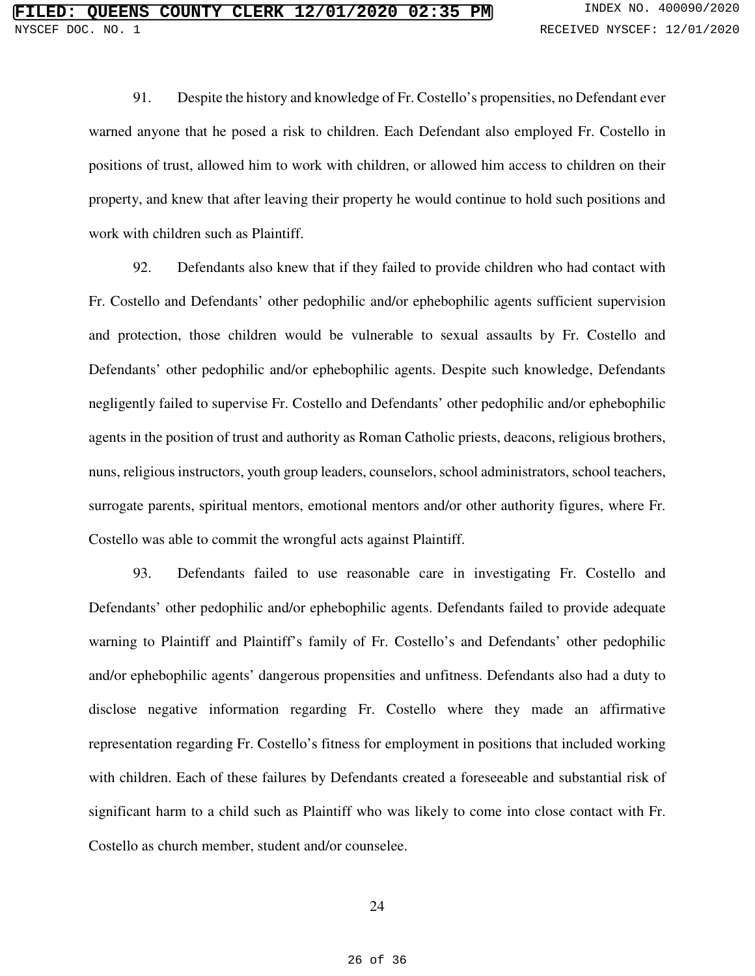91. Despite the history and knowledge of Fr. Costello's propensities, no Defendant ever warned anyone that he posed a risk to children. Each Defendant also employed Fr. Costello in positions of trust, allowed him to work with children, or allowed him access to children on their property, and knew that after leaving their property he would continue to hold such positions and work with children such as Plaintiff.

92. Defendants also knew that if they failed to provide children who had contact with Fr. Costello and Defendants' other pedophilic and/or ephebophilic agents sufficient supervision and protection, those children would be vulnerable to sexual assaults by Fr. Costello and Defendants' other pedophilic and/or ephebophilic agents. Despite such knowledge, Defendants negligently failed to supervise Fr. Costello and Defendants' other pedophilic and/or ephebophilic agents in the position of trust and authority as Roman Catholic priests, deacons, religious brothers, nuns, religious instructors, youth group leaders, counselors, school administrators, school teachers, surrogate parents, spiritual mentors, emotional mentors and/or other authority figures, where Fr. Costello was able to commit the wrongful acts against Plaintiff.

93. Defendants failed to use reasonable care in investigating Fr. Costello and Defendants' other pedophilic and/or ephebophilic agents. Defendants failed to provide adequate warning to Plaintiff and Plaintiff's family of Fr. Costello's and Defendants' other pedophilic and/or ephebophilic agents' dangerous propensities and unfitness. Defendants also had a duty to disclose negative information regarding Fr. Costello where they made an affirmative representation regarding Fr. Costello's fitness for employment in positions that included working with children. Each of these failures by Defendants created a foreseeable and substantial risk of significant harm to a child such as Plaintiff who was likely to come into close contact with Fr. Costello as church member, student and/or counselee.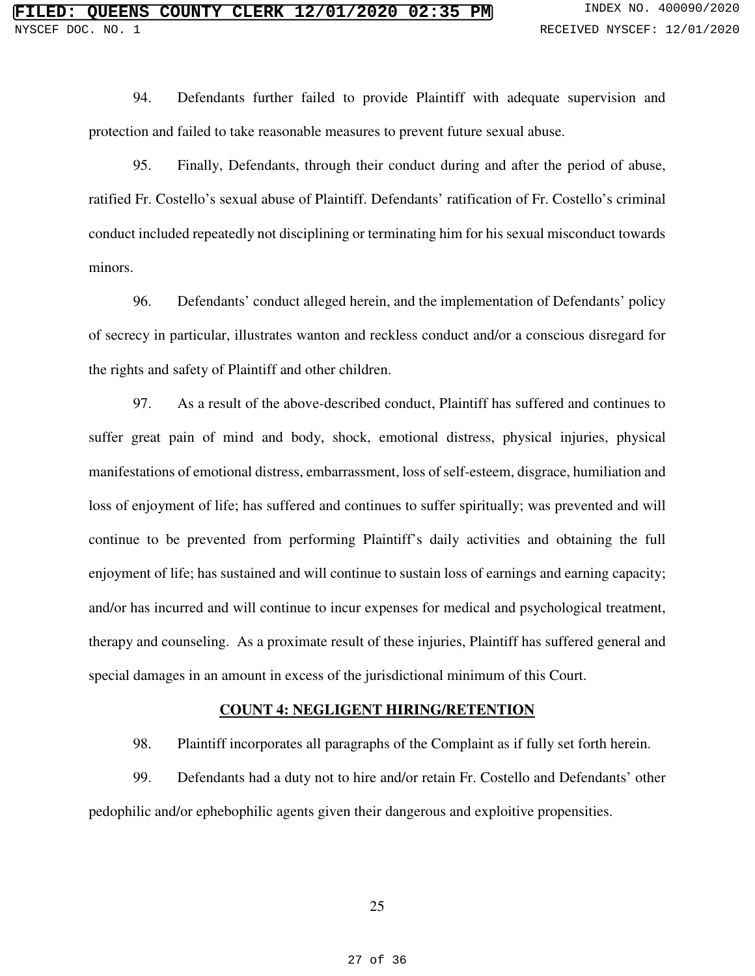94. Defendants further failed to provide Plaintiff with adequate supervision and protection and failed to take reasonable measures to prevent future sexual abuse.

95. Finally, Defendants, through their conduct during and after the period of abuse, ratified Fr. Costello's sexual abuse of Plaintiff. Defendants' ratification of Fr. Costello's criminal conduct included repeatedly not disciplining or terminating him for his sexual misconduct towards minors.

96. Defendants' conduct alleged herein, and the implementation of Defendants' policy of secrecy in particular, illustrates wanton and reckless conduct and/or a conscious disregard for the rights and safety of Plaintiff and other children.

97. As a result of the above-described conduct, Plaintiff has suffered and continues to suffer great pain of mind and body, shock, emotional distress, physical injuries, physical manifestations of emotional distress, embarrassment, loss of self-esteem, disgrace, humiliation and loss of enjoyment of life; has suffered and continues to suffer spiritually; was prevented and will continue to be prevented from performing Plaintiff's daily activities and obtaining the full enjoyment of life; has sustained and will continue to sustain loss of earnings and earning capacity; and/or has incurred and will continue to incur expenses for medical and psychological treatment, therapy and counseling. As a proximate result of these injuries, Plaintiff has suffered general and special damages in an amount in excess of the jurisdictional minimum of this Court.

#### **COUNT 4: NEGLIGENT HIRING/RETENTION**

98. Plaintiff incorporates all paragraphs of the Complaint as if fully set forth herein.

99. Defendants had a duty not to hire and/or retain Fr. Costello and Defendants' other pedophilic and/or ephebophilic agents given their dangerous and exploitive propensities.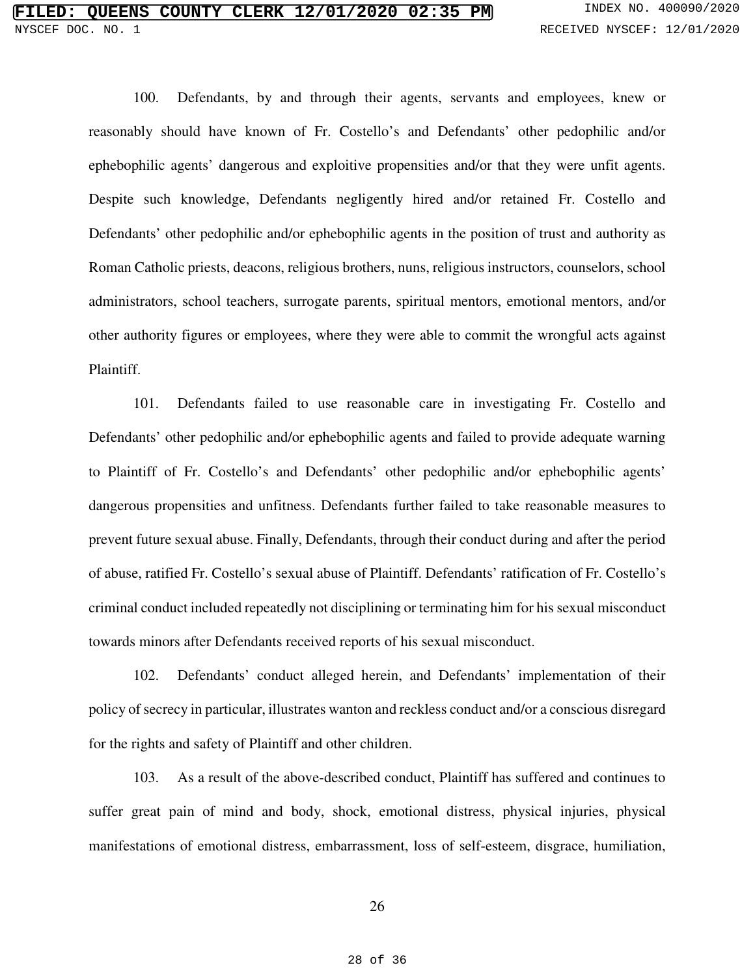100. Defendants, by and through their agents, servants and employees, knew or reasonably should have known of Fr. Costello's and Defendants' other pedophilic and/or ephebophilic agents' dangerous and exploitive propensities and/or that they were unfit agents. Despite such knowledge, Defendants negligently hired and/or retained Fr. Costello and Defendants' other pedophilic and/or ephebophilic agents in the position of trust and authority as Roman Catholic priests, deacons, religious brothers, nuns, religious instructors, counselors, school administrators, school teachers, surrogate parents, spiritual mentors, emotional mentors, and/or other authority figures or employees, where they were able to commit the wrongful acts against Plaintiff.

101. Defendants failed to use reasonable care in investigating Fr. Costello and Defendants' other pedophilic and/or ephebophilic agents and failed to provide adequate warning to Plaintiff of Fr. Costello's and Defendants' other pedophilic and/or ephebophilic agents' dangerous propensities and unfitness. Defendants further failed to take reasonable measures to prevent future sexual abuse. Finally, Defendants, through their conduct during and after the period of abuse, ratified Fr. Costello's sexual abuse of Plaintiff. Defendants' ratification of Fr. Costello's criminal conduct included repeatedly not disciplining or terminating him for his sexual misconduct towards minors after Defendants received reports of his sexual misconduct.

102. Defendants' conduct alleged herein, and Defendants' implementation of their policy of secrecy in particular, illustrates wanton and reckless conduct and/or a conscious disregard for the rights and safety of Plaintiff and other children.

103. As a result of the above-described conduct, Plaintiff has suffered and continues to suffer great pain of mind and body, shock, emotional distress, physical injuries, physical manifestations of emotional distress, embarrassment, loss of self-esteem, disgrace, humiliation,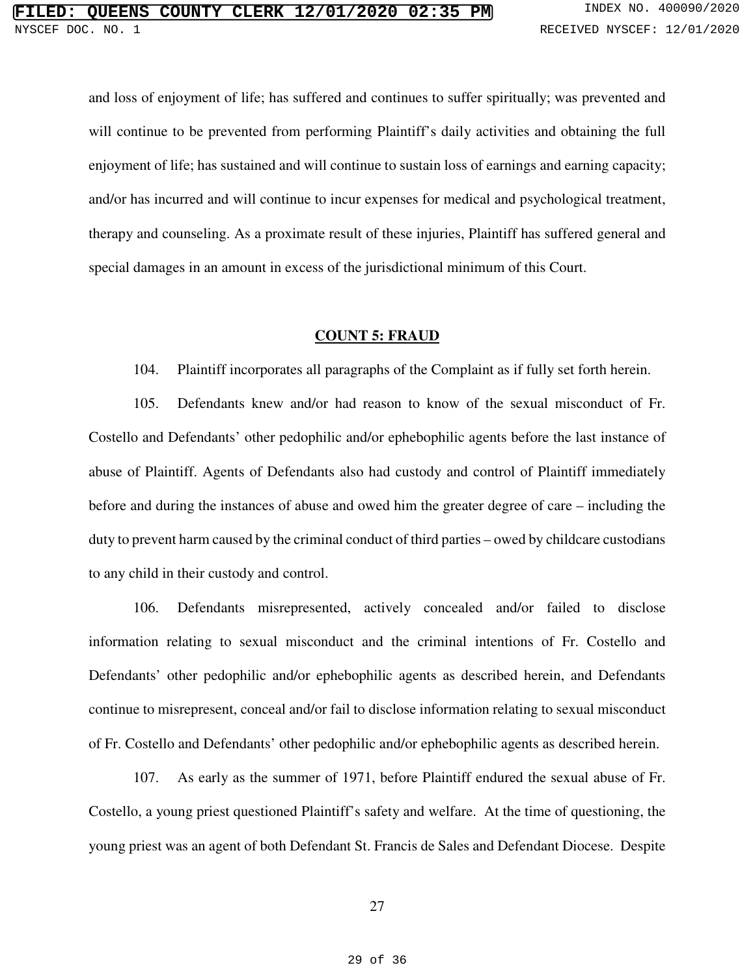and loss of enjoyment of life; has suffered and continues to suffer spiritually; was prevented and will continue to be prevented from performing Plaintiff's daily activities and obtaining the full enjoyment of life; has sustained and will continue to sustain loss of earnings and earning capacity; and/or has incurred and will continue to incur expenses for medical and psychological treatment, therapy and counseling. As a proximate result of these injuries, Plaintiff has suffered general and special damages in an amount in excess of the jurisdictional minimum of this Court.

### **COUNT 5: FRAUD**

104. Plaintiff incorporates all paragraphs of the Complaint as if fully set forth herein.

105. Defendants knew and/or had reason to know of the sexual misconduct of Fr. Costello and Defendants' other pedophilic and/or ephebophilic agents before the last instance of abuse of Plaintiff. Agents of Defendants also had custody and control of Plaintiff immediately before and during the instances of abuse and owed him the greater degree of care – including the duty to prevent harm caused by the criminal conduct of third parties – owed by childcare custodians to any child in their custody and control.

106. Defendants misrepresented, actively concealed and/or failed to disclose information relating to sexual misconduct and the criminal intentions of Fr. Costello and Defendants' other pedophilic and/or ephebophilic agents as described herein, and Defendants continue to misrepresent, conceal and/or fail to disclose information relating to sexual misconduct of Fr. Costello and Defendants' other pedophilic and/or ephebophilic agents as described herein.

107. As early as the summer of 1971, before Plaintiff endured the sexual abuse of Fr. Costello, a young priest questioned Plaintiff's safety and welfare. At the time of questioning, the young priest was an agent of both Defendant St. Francis de Sales and Defendant Diocese. Despite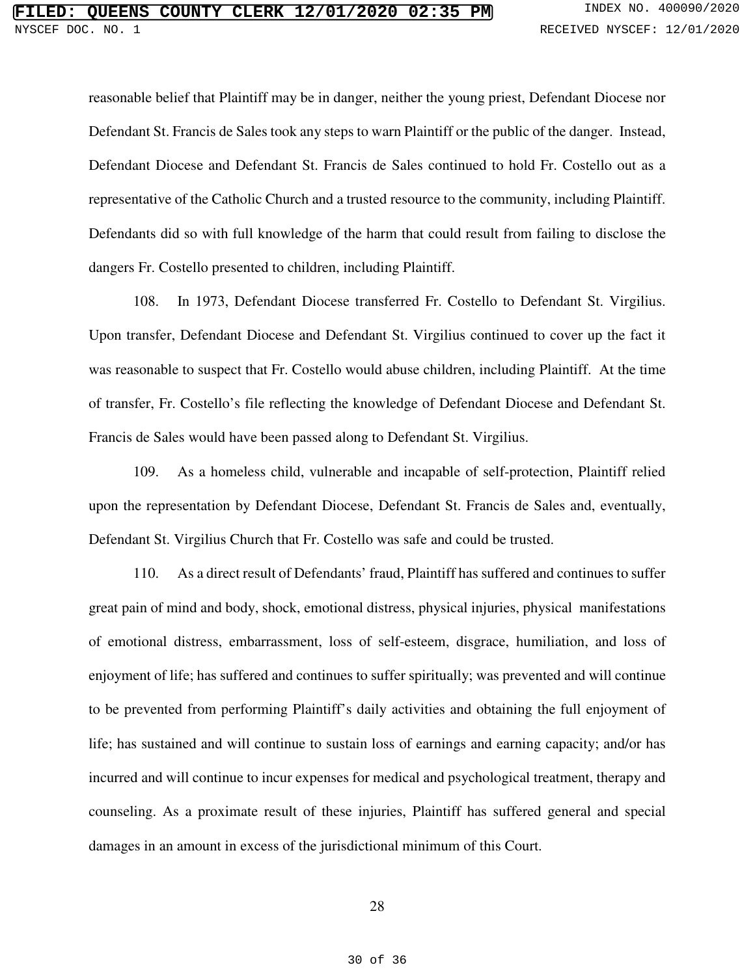reasonable belief that Plaintiff may be in danger, neither the young priest, Defendant Diocese nor Defendant St. Francis de Sales took any steps to warn Plaintiff or the public of the danger. Instead, Defendant Diocese and Defendant St. Francis de Sales continued to hold Fr. Costello out as a representative of the Catholic Church and a trusted resource to the community, including Plaintiff. Defendants did so with full knowledge of the harm that could result from failing to disclose the dangers Fr. Costello presented to children, including Plaintiff.

108. In 1973, Defendant Diocese transferred Fr. Costello to Defendant St. Virgilius. Upon transfer, Defendant Diocese and Defendant St. Virgilius continued to cover up the fact it was reasonable to suspect that Fr. Costello would abuse children, including Plaintiff. At the time of transfer, Fr. Costello's file reflecting the knowledge of Defendant Diocese and Defendant St. Francis de Sales would have been passed along to Defendant St. Virgilius.

109. As a homeless child, vulnerable and incapable of self-protection, Plaintiff relied upon the representation by Defendant Diocese, Defendant St. Francis de Sales and, eventually, Defendant St. Virgilius Church that Fr. Costello was safe and could be trusted.

110. As a direct result of Defendants' fraud, Plaintiff has suffered and continues to suffer great pain of mind and body, shock, emotional distress, physical injuries, physical manifestations of emotional distress, embarrassment, loss of self-esteem, disgrace, humiliation, and loss of enjoyment of life; has suffered and continues to suffer spiritually; was prevented and will continue to be prevented from performing Plaintiff's daily activities and obtaining the full enjoyment of life; has sustained and will continue to sustain loss of earnings and earning capacity; and/or has incurred and will continue to incur expenses for medical and psychological treatment, therapy and counseling. As a proximate result of these injuries, Plaintiff has suffered general and special damages in an amount in excess of the jurisdictional minimum of this Court.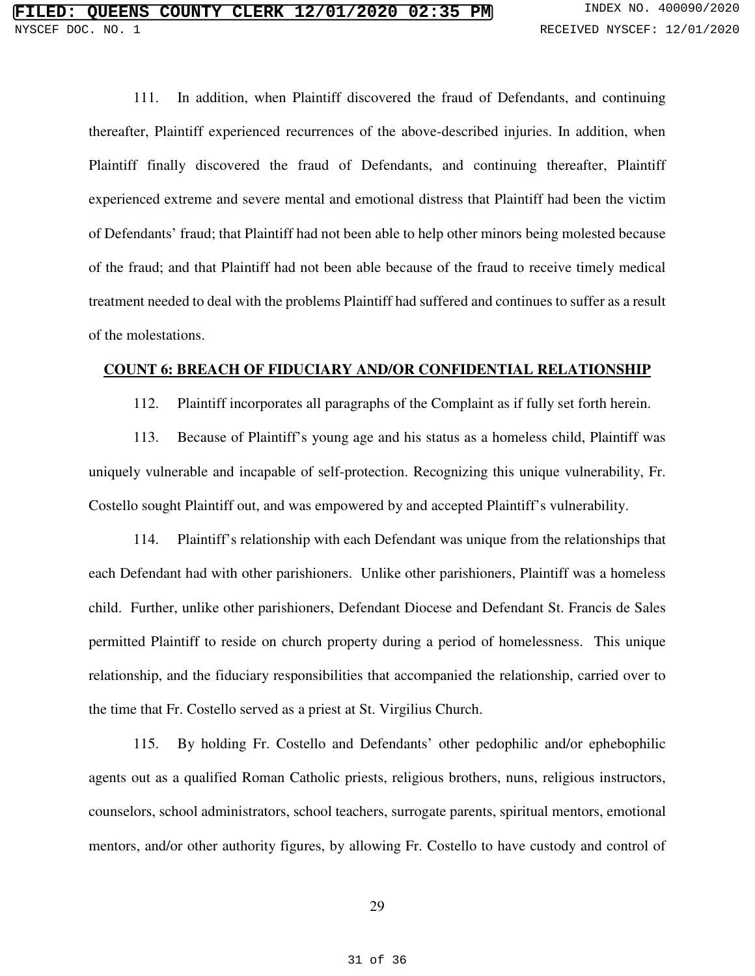111. In addition, when Plaintiff discovered the fraud of Defendants, and continuing thereafter, Plaintiff experienced recurrences of the above-described injuries. In addition, when Plaintiff finally discovered the fraud of Defendants, and continuing thereafter, Plaintiff experienced extreme and severe mental and emotional distress that Plaintiff had been the victim of Defendants' fraud; that Plaintiff had not been able to help other minors being molested because of the fraud; and that Plaintiff had not been able because of the fraud to receive timely medical treatment needed to deal with the problems Plaintiff had suffered and continues to suffer as a result of the molestations.

## **COUNT 6: BREACH OF FIDUCIARY AND/OR CONFIDENTIAL RELATIONSHIP**

112. Plaintiff incorporates all paragraphs of the Complaint as if fully set forth herein.

113. Because of Plaintiff's young age and his status as a homeless child, Plaintiff was uniquely vulnerable and incapable of self-protection. Recognizing this unique vulnerability, Fr. Costello sought Plaintiff out, and was empowered by and accepted Plaintiff's vulnerability.

114. Plaintiff's relationship with each Defendant was unique from the relationships that each Defendant had with other parishioners. Unlike other parishioners, Plaintiff was a homeless child. Further, unlike other parishioners, Defendant Diocese and Defendant St. Francis de Sales permitted Plaintiff to reside on church property during a period of homelessness. This unique relationship, and the fiduciary responsibilities that accompanied the relationship, carried over to the time that Fr. Costello served as a priest at St. Virgilius Church.

115. By holding Fr. Costello and Defendants' other pedophilic and/or ephebophilic agents out as a qualified Roman Catholic priests, religious brothers, nuns, religious instructors, counselors, school administrators, school teachers, surrogate parents, spiritual mentors, emotional mentors, and/or other authority figures, by allowing Fr. Costello to have custody and control of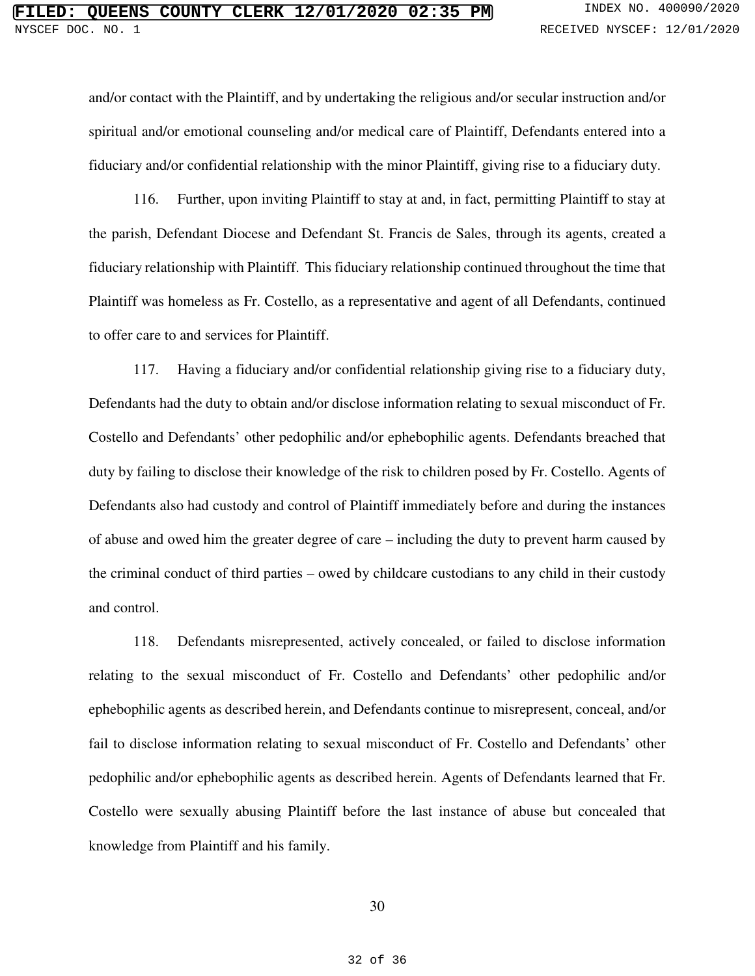and/or contact with the Plaintiff, and by undertaking the religious and/or secular instruction and/or spiritual and/or emotional counseling and/or medical care of Plaintiff, Defendants entered into a fiduciary and/or confidential relationship with the minor Plaintiff, giving rise to a fiduciary duty.

116. Further, upon inviting Plaintiff to stay at and, in fact, permitting Plaintiff to stay at the parish, Defendant Diocese and Defendant St. Francis de Sales, through its agents, created a fiduciary relationship with Plaintiff. This fiduciary relationship continued throughout the time that Plaintiff was homeless as Fr. Costello, as a representative and agent of all Defendants, continued to offer care to and services for Plaintiff.

117. Having a fiduciary and/or confidential relationship giving rise to a fiduciary duty, Defendants had the duty to obtain and/or disclose information relating to sexual misconduct of Fr. Costello and Defendants' other pedophilic and/or ephebophilic agents. Defendants breached that duty by failing to disclose their knowledge of the risk to children posed by Fr. Costello. Agents of Defendants also had custody and control of Plaintiff immediately before and during the instances of abuse and owed him the greater degree of care – including the duty to prevent harm caused by the criminal conduct of third parties – owed by childcare custodians to any child in their custody and control.

118. Defendants misrepresented, actively concealed, or failed to disclose information relating to the sexual misconduct of Fr. Costello and Defendants' other pedophilic and/or ephebophilic agents as described herein, and Defendants continue to misrepresent, conceal, and/or fail to disclose information relating to sexual misconduct of Fr. Costello and Defendants' other pedophilic and/or ephebophilic agents as described herein. Agents of Defendants learned that Fr. Costello were sexually abusing Plaintiff before the last instance of abuse but concealed that knowledge from Plaintiff and his family.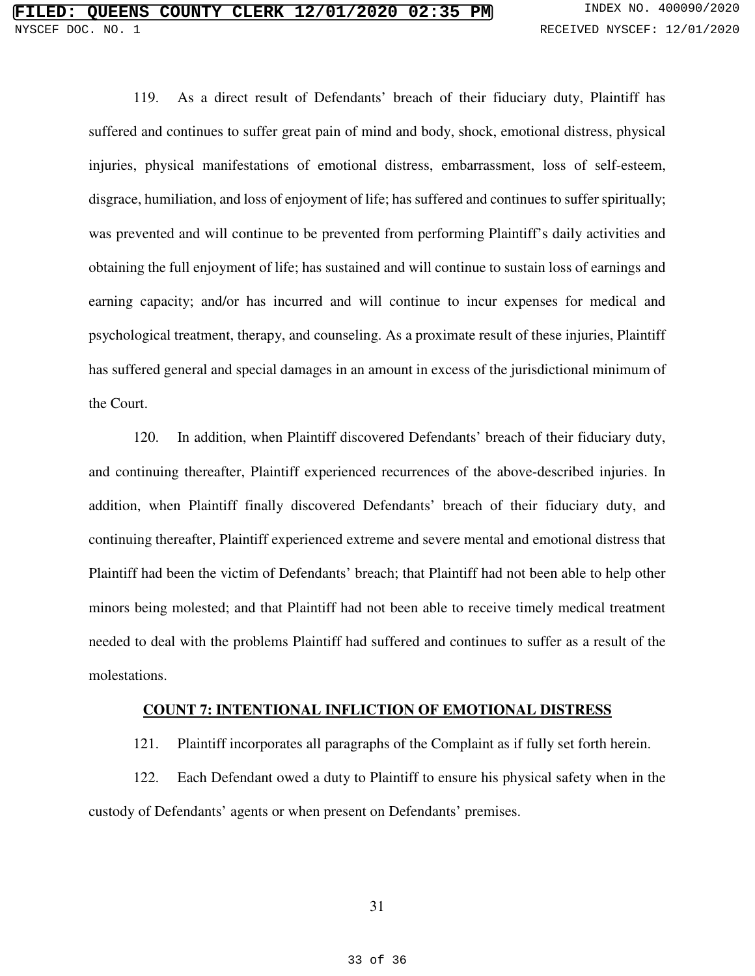119. As a direct result of Defendants' breach of their fiduciary duty, Plaintiff has suffered and continues to suffer great pain of mind and body, shock, emotional distress, physical injuries, physical manifestations of emotional distress, embarrassment, loss of self-esteem, disgrace, humiliation, and loss of enjoyment of life; has suffered and continues to suffer spiritually; was prevented and will continue to be prevented from performing Plaintiff's daily activities and obtaining the full enjoyment of life; has sustained and will continue to sustain loss of earnings and earning capacity; and/or has incurred and will continue to incur expenses for medical and psychological treatment, therapy, and counseling. As a proximate result of these injuries, Plaintiff has suffered general and special damages in an amount in excess of the jurisdictional minimum of the Court.

120. In addition, when Plaintiff discovered Defendants' breach of their fiduciary duty, and continuing thereafter, Plaintiff experienced recurrences of the above-described injuries. In addition, when Plaintiff finally discovered Defendants' breach of their fiduciary duty, and continuing thereafter, Plaintiff experienced extreme and severe mental and emotional distress that Plaintiff had been the victim of Defendants' breach; that Plaintiff had not been able to help other minors being molested; and that Plaintiff had not been able to receive timely medical treatment needed to deal with the problems Plaintiff had suffered and continues to suffer as a result of the molestations.

#### **COUNT 7: INTENTIONAL INFLICTION OF EMOTIONAL DISTRESS**

121. Plaintiff incorporates all paragraphs of the Complaint as if fully set forth herein.

122. Each Defendant owed a duty to Plaintiff to ensure his physical safety when in the custody of Defendants' agents or when present on Defendants' premises.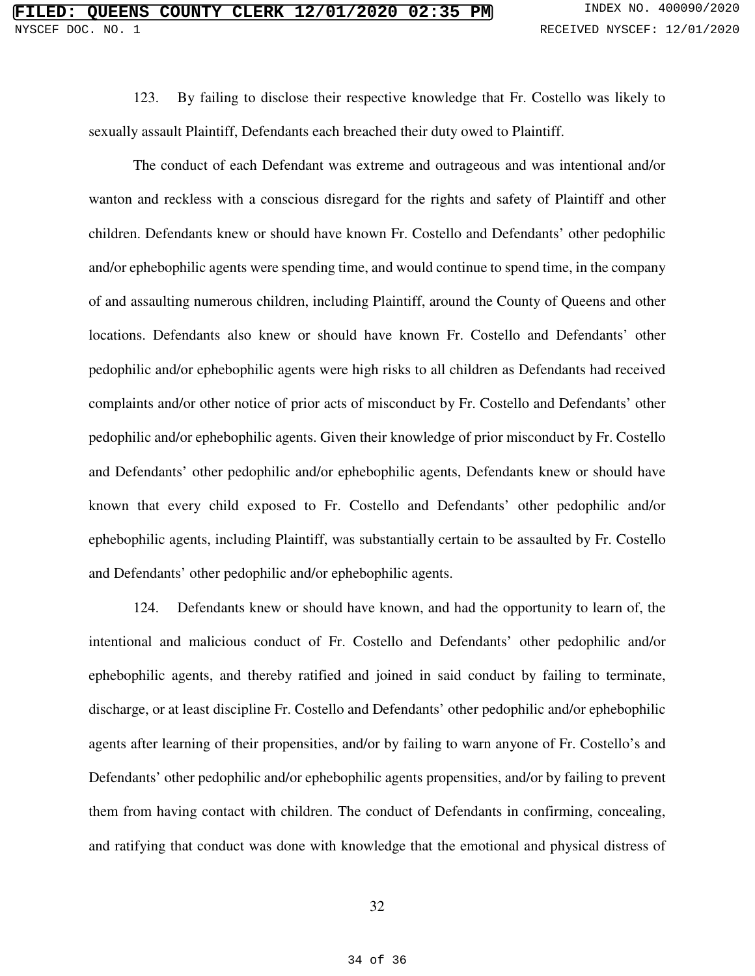123. By failing to disclose their respective knowledge that Fr. Costello was likely to sexually assault Plaintiff, Defendants each breached their duty owed to Plaintiff.

The conduct of each Defendant was extreme and outrageous and was intentional and/or wanton and reckless with a conscious disregard for the rights and safety of Plaintiff and other children. Defendants knew or should have known Fr. Costello and Defendants' other pedophilic and/or ephebophilic agents were spending time, and would continue to spend time, in the company of and assaulting numerous children, including Plaintiff, around the County of Queens and other locations. Defendants also knew or should have known Fr. Costello and Defendants' other pedophilic and/or ephebophilic agents were high risks to all children as Defendants had received complaints and/or other notice of prior acts of misconduct by Fr. Costello and Defendants' other pedophilic and/or ephebophilic agents. Given their knowledge of prior misconduct by Fr. Costello and Defendants' other pedophilic and/or ephebophilic agents, Defendants knew or should have known that every child exposed to Fr. Costello and Defendants' other pedophilic and/or ephebophilic agents, including Plaintiff, was substantially certain to be assaulted by Fr. Costello and Defendants' other pedophilic and/or ephebophilic agents.

124. Defendants knew or should have known, and had the opportunity to learn of, the intentional and malicious conduct of Fr. Costello and Defendants' other pedophilic and/or ephebophilic agents, and thereby ratified and joined in said conduct by failing to terminate, discharge, or at least discipline Fr. Costello and Defendants' other pedophilic and/or ephebophilic agents after learning of their propensities, and/or by failing to warn anyone of Fr. Costello's and Defendants' other pedophilic and/or ephebophilic agents propensities, and/or by failing to prevent them from having contact with children. The conduct of Defendants in confirming, concealing, and ratifying that conduct was done with knowledge that the emotional and physical distress of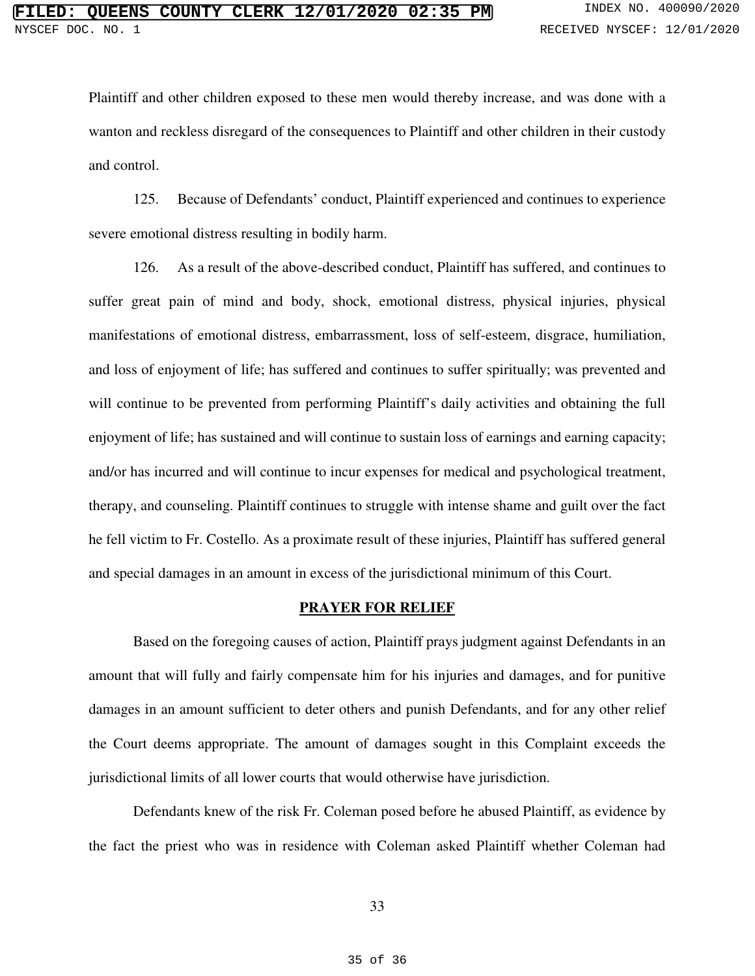Plaintiff and other children exposed to these men would thereby increase, and was done with a wanton and reckless disregard of the consequences to Plaintiff and other children in their custody and control.

125. Because of Defendants' conduct, Plaintiff experienced and continues to experience severe emotional distress resulting in bodily harm.

126. As a result of the above-described conduct, Plaintiff has suffered, and continues to suffer great pain of mind and body, shock, emotional distress, physical injuries, physical manifestations of emotional distress, embarrassment, loss of self-esteem, disgrace, humiliation, and loss of enjoyment of life; has suffered and continues to suffer spiritually; was prevented and will continue to be prevented from performing Plaintiff's daily activities and obtaining the full enjoyment of life; has sustained and will continue to sustain loss of earnings and earning capacity; and/or has incurred and will continue to incur expenses for medical and psychological treatment, therapy, and counseling. Plaintiff continues to struggle with intense shame and guilt over the fact he fell victim to Fr. Costello. As a proximate result of these injuries, Plaintiff has suffered general and special damages in an amount in excess of the jurisdictional minimum of this Court.

#### **PRAYER FOR RELIEF**

Based on the foregoing causes of action, Plaintiff prays judgment against Defendants in an amount that will fully and fairly compensate him for his injuries and damages, and for punitive damages in an amount sufficient to deter others and punish Defendants, and for any other relief the Court deems appropriate. The amount of damages sought in this Complaint exceeds the jurisdictional limits of all lower courts that would otherwise have jurisdiction.

Defendants knew of the risk Fr. Coleman posed before he abused Plaintiff, as evidence by the fact the priest who was in residence with Coleman asked Plaintiff whether Coleman had